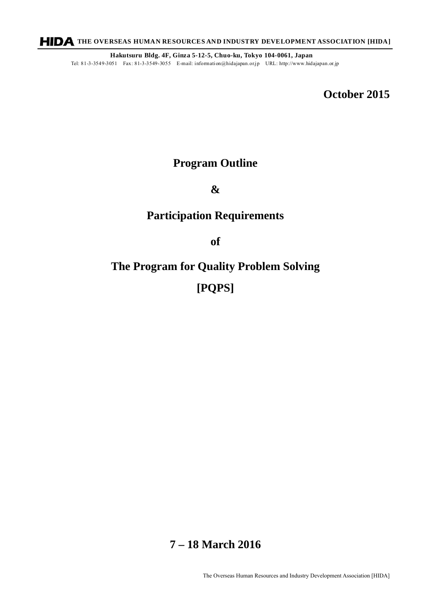**HIDA** THE OVERSEAS HUMAN RESOURCES AND INDUSTRY DEVELOPMENT ASSOCIATION [HIDA]

**Hakutsuru Bldg. 4F, Ginza 5-12-5, Chuo-ku, Tokyo 104-0061, Japan** Tel: 81-3-3549-3051 Fax: 81-3-3549-3055 E-mail: information@hidajapan.or.jp URL: http://www.hidajapan.or.jp

**October 2015** 

# **Program Outline**

#### **&**

# **Participation Requirements**

**of** 

# **The Program for Quality Problem Solving [PQPS]**

# **7 – 18 March 2016**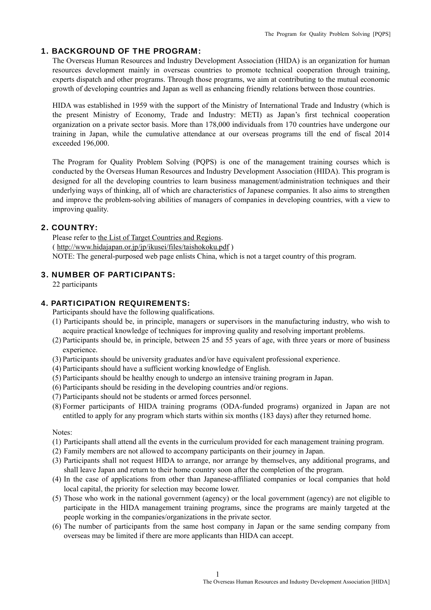#### 1. BACKGROUND OF THE PROGRAM:

The Overseas Human Resources and Industry Development Association (HIDA) is an organization for human resources development mainly in overseas countries to promote technical cooperation through training, experts dispatch and other programs. Through those programs, we aim at contributing to the mutual economic growth of developing countries and Japan as well as enhancing friendly relations between those countries.

HIDA was established in 1959 with the support of the Ministry of International Trade and Industry (which is the present Ministry of Economy, Trade and Industry: METI) as Japan's first technical cooperation organization on a private sector basis. More than 178,000 individuals from 170 countries have undergone our training in Japan, while the cumulative attendance at our overseas programs till the end of fiscal 2014 exceeded 196,000.

The Program for Quality Problem Solving (PQPS) is one of the management training courses which is conducted by the Overseas Human Resources and Industry Development Association (HIDA). This program is designed for all the developing countries to learn business management/administration techniques and their underlying ways of thinking, all of which are characteristics of Japanese companies. It also aims to strengthen and improve the problem-solving abilities of managers of companies in developing countries, with a view to improving quality.

#### 2. COUNTRY:

Please refer to the List of Target Countries and Regions. ( http://www.hidajapan.or.jp/jp/ikusei/files/taishokoku.pdf ) NOTE: The general-purposed web page enlists China, which is not a target country of this program.

#### 3. NUMBER OF PARTICIPANTS:

22 participants

#### 4. PARTICIPATION REQUIREMENTS:

Participants should have the following qualifications.

- (1) Participants should be, in principle, managers or supervisors in the manufacturing industry, who wish to acquire practical knowledge of techniques for improving quality and resolving important problems.
- (2) Participants should be, in principle, between 25 and 55 years of age, with three years or more of business experience.
- (3) Participants should be university graduates and/or have equivalent professional experience.
- (4) Participants should have a sufficient working knowledge of English.
- (5) Participants should be healthy enough to undergo an intensive training program in Japan.
- (6) Participants should be residing in the developing countries and/or regions.
- (7) Participants should not be students or armed forces personnel.
- (8) Former participants of HIDA training programs (ODA-funded programs) organized in Japan are not entitled to apply for any program which starts within six months (183 days) after they returned home.

#### Notes:

- (1) Participants shall attend all the events in the curriculum provided for each management training program.
- (2) Family members are not allowed to accompany participants on their journey in Japan.
- (3) Participants shall not request HIDA to arrange, nor arrange by themselves, any additional programs, and shall leave Japan and return to their home country soon after the completion of the program.
- (4) In the case of applications from other than Japanese-affiliated companies or local companies that hold local capital, the priority for selection may become lower.
- (5) Those who work in the national government (agency) or the local government (agency) are not eligible to participate in the HIDA management training programs, since the programs are mainly targeted at the people working in the companies/organizations in the private sector.
- (6) The number of participants from the same host company in Japan or the same sending company from overseas may be limited if there are more applicants than HIDA can accept.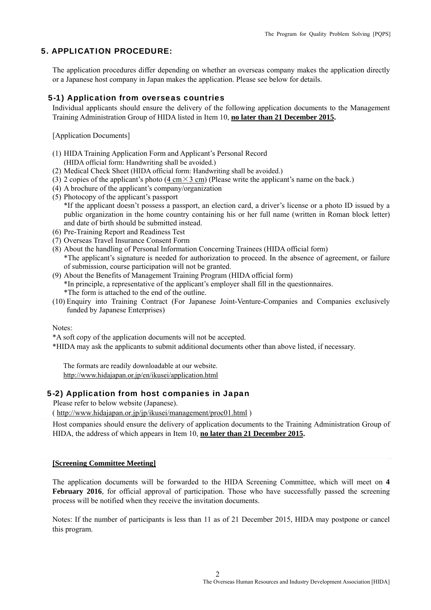#### 5. APPLICATION PROCEDURE:

The application procedures differ depending on whether an overseas company makes the application directly or a Japanese host company in Japan makes the application. Please see below for details.

#### 5-1) Application from overseas countries

Individual applicants should ensure the delivery of the following application documents to the Management Training Administration Group of HIDA listed in Item 10, **no later than 21 December 2015.** 

[Application Documents]

- (1) HIDA Training Application Form and Applicant's Personal Record (HIDA official form: Handwriting shall be avoided.)
- (2) Medical Check Sheet (HIDA official form: Handwriting shall be avoided.)
- (3) 2 copies of the applicant's photo (4 cm  $\times$  3 cm) (Please write the applicant's name on the back.)
- (4) A brochure of the applicant's company/organization
- (5) Photocopy of the applicant's passport \*If the applicant doesn't possess a passport, an election card, a driver's license or a photo ID issued by a public organization in the home country containing his or her full name (written in Roman block letter) and date of birth should be submitted instead.
- (6) Pre-Training Report and Readiness Test
- (7) Overseas Travel Insurance Consent Form
- (8) About the handling of Personal Information Concerning Trainees (HIDA official form) \*The applicant's signature is needed for authorization to proceed. In the absence of agreement, or failure of submission, course participation will not be granted.
- (9) About the Benefits of Management Training Program (HIDA official form) \*In principle, a representative of the applicant's employer shall fill in the questionnaires. \*The form is attached to the end of the outline.
- (10) Enquiry into Training Contract (For Japanese Joint-Venture-Companies and Companies exclusively funded by Japanese Enterprises)

Notes:

\*A soft copy of the application documents will not be accepted.

\*HIDA may ask the applicants to submit additional documents other than above listed, if necessary.

The formats are readily downloadable at our website. http://www.hidajapan.or.jp/en/ikusei/application.html

#### 5-2) Application from host companies in Japan

Please refer to below website (Japanese).

( http://www.hidajapan.or.jp/jp/ikusei/management/proc01.html )

 Host companies should ensure the delivery of application documents to the Training Administration Group of HIDA, the address of which appears in Item 10, **no later than 21 December 2015.** 

#### **[Screening Committee Meeting]**

The application documents will be forwarded to the HIDA Screening Committee, which will meet on **4 February 2016**, for official approval of participation. Those who have successfully passed the screening process will be notified when they receive the invitation documents.

Notes: If the number of participants is less than 11 as of 21 December 2015, HIDA may postpone or cancel this program.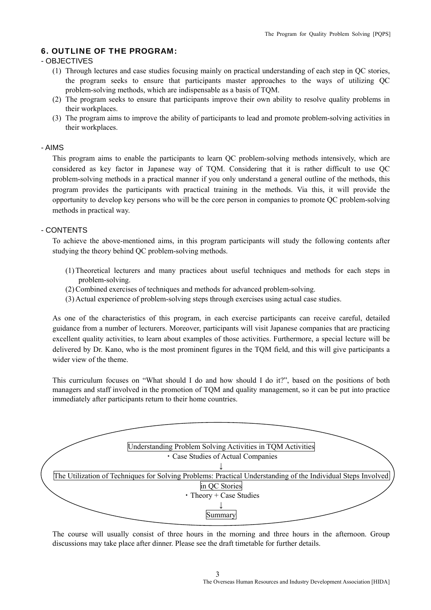#### 6. OUTLINE OF THE PROGRAM:

#### - OBJECTIVES

- (1) Through lectures and case studies focusing mainly on practical understanding of each step in QC stories, the program seeks to ensure that participants master approaches to the ways of utilizing QC problem-solving methods, which are indispensable as a basis of TQM.
- (2) The program seeks to ensure that participants improve their own ability to resolve quality problems in their workplaces.
- (3) The program aims to improve the ability of participants to lead and promote problem-solving activities in their workplaces.

#### - AIMS

This program aims to enable the participants to learn QC problem-solving methods intensively, which are considered as key factor in Japanese way of TQM. Considering that it is rather difficult to use QC problem-solving methods in a practical manner if you only understand a general outline of the methods, this program provides the participants with practical training in the methods. Via this, it will provide the opportunity to develop key persons who will be the core person in companies to promote QC problem-solving methods in practical way.

#### - CONTENTS

To achieve the above-mentioned aims, in this program participants will study the following contents after studying the theory behind QC problem-solving methods.

- (1) Theoretical lecturers and many practices about useful techniques and methods for each steps in problem-solving.
- (2)Combined exercises of techniques and methods for advanced problem-solving.
- (3) Actual experience of problem-solving steps through exercises using actual case studies.

As one of the characteristics of this program, in each exercise participants can receive careful, detailed guidance from a number of lecturers. Moreover, participants will visit Japanese companies that are practicing excellent quality activities, to learn about examples of those activities. Furthermore, a special lecture will be delivered by Dr. Kano, who is the most prominent figures in the TQM field, and this will give participants a wider view of the theme.

This curriculum focuses on "What should I do and how should I do it?", based on the positions of both managers and staff involved in the promotion of TQM and quality management, so it can be put into practice immediately after participants return to their home countries.



The course will usually consist of three hours in the morning and three hours in the afternoon. Group discussions may take place after dinner. Please see the draft timetable for further details.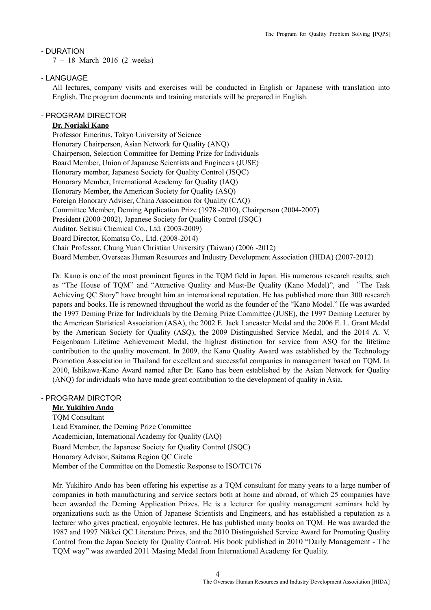#### - DURATION

7 – 18 March 2016 (2 weeks)

#### - LANGUAGE

All lectures, company visits and exercises will be conducted in English or Japanese with translation into English. The program documents and training materials will be prepared in English.

#### - PROGRAM DIRECTOR

#### **Dr. Noriaki Kano**

 Professor Emeritus, Tokyo University of Science Honorary Chairperson, Asian Network for Quality (ANQ) Chairperson, Selection Committee for Deming Prize for Individuals Board Member, Union of Japanese Scientists and Engineers (JUSE) Honorary member, Japanese Society for Quality Control (JSQC) Honorary Member, International Academy for Quality (IAQ) Honorary Member, the American Society for Quality (ASQ) Foreign Honorary Adviser, China Association for Quality (CAQ) Committee Member, Deming Application Prize (1978 -2010), Chairperson (2004-2007) President (2000-2002), Japanese Society for Quality Control (JSQC) Auditor, Sekisui Chemical Co., Ltd. (2003-2009) Board Director, Komatsu Co., Ltd. (2008-2014) Chair Professor, Chung Yuan Christian University (Taiwan) (2006 -2012) Board Member, Overseas Human Resources and Industry Development Association (HIDA) (2007-2012)

Dr. Kano is one of the most prominent figures in the TQM field in Japan. His numerous research results, such as "The House of TQM" and "Attractive Quality and Must-Be Quality (Kano Model)", and "The Task Achieving QC Story" have brought him an international reputation. He has published more than 300 research papers and books. He is renowned throughout the world as the founder of the "Kano Model." He was awarded the 1997 Deming Prize for Individuals by the Deming Prize Committee (JUSE), the 1997 Deming Lecturer by the American Statistical Association (ASA), the 2002 E. Jack Lancaster Medal and the 2006 E. L. Grant Medal by the American Society for Quality (ASQ), the 2009 Distinguished Service Medal, and the 2014 A. V. Feigenbaum Lifetime Achievement Medal, the highest distinction for service from ASQ for the lifetime contribution to the quality movement. In 2009, the Kano Quality Award was established by the Technology Promotion Association in Thailand for excellent and successful companies in management based on TQM. In 2010, Ishikawa-Kano Award named after Dr. Kano has been established by the Asian Network for Quality (ANQ) for individuals who have made great contribution to the development of quality in Asia.

#### - PROGRAM DIRCTOR

#### **Mr. Yukihiro Ando**

TQM Consultant Lead Examiner, the Deming Prize Committee Academician, International Academy for Quality (IAQ) Board Member, the Japanese Society for Quality Control (JSQC) Honorary Advisor, Saitama Region QC Circle Member of the Committee on the Domestic Response to ISO/TC176

Mr. Yukihiro Ando has been offering his expertise as a TQM consultant for many years to a large number of companies in both manufacturing and service sectors both at home and abroad, of which 25 companies have been awarded the Deming Application Prizes. He is a lecturer for quality management seminars held by organizations such as the Union of Japanese Scientists and Engineers, and has established a reputation as a lecturer who gives practical, enjoyable lectures. He has published many books on TQM. He was awarded the 1987 and 1997 Nikkei QC Literature Prizes, and the 2010 Distinguished Service Award for Promoting Quality Control from the Japan Society for Quality Control. His book published in 2010 "Daily Management - The TQM way" was awarded 2011 Masing Medal from International Academy for Quality.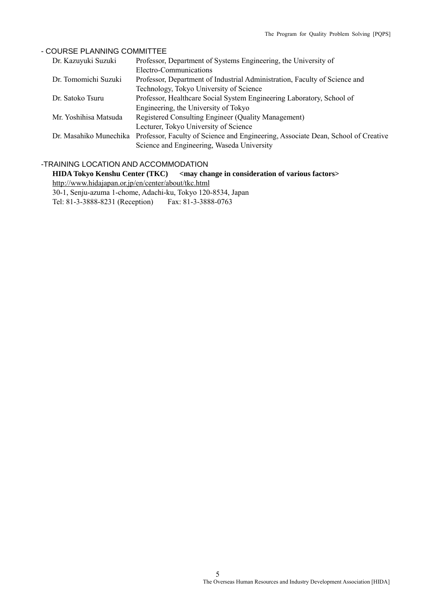#### - COURSE PLANNING COMMITTEE

| Dr. Kazuyuki Suzuki   | Professor, Department of Systems Engineering, the University of                                          |
|-----------------------|----------------------------------------------------------------------------------------------------------|
|                       | Electro-Communications                                                                                   |
| Dr. Tomomichi Suzuki  | Professor, Department of Industrial Administration, Faculty of Science and                               |
|                       | Technology, Tokyo University of Science                                                                  |
| Dr. Satoko Tsuru      | Professor, Healthcare Social System Engineering Laboratory, School of                                    |
|                       | Engineering, the University of Tokyo                                                                     |
| Mr. Yoshihisa Matsuda | Registered Consulting Engineer (Quality Management)                                                      |
|                       | Lecturer, Tokyo University of Science                                                                    |
|                       | Dr. Masahiko Munechika Professor, Faculty of Science and Engineering, Associate Dean, School of Creative |
|                       | Science and Engineering, Waseda University                                                               |

#### -TRAINING LOCATION AND ACCOMMODATION

**HIDA Tokyo Kenshu Center (TKC)** <may change in consideration of various factors> http://www.hidajapan.or.jp/en/center/about/tkc.html

30-1, Senju-azuma 1-chome, Adachi-ku, Tokyo 120-8534, Japan

Tel: 81-3-3888-8231 (Reception) Fax: 81-3-3888-0763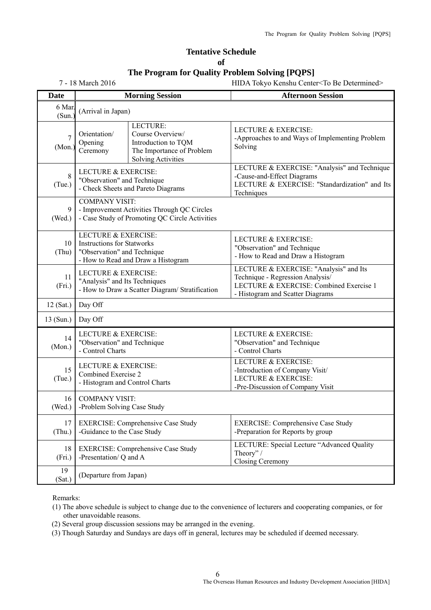#### **Tentative Schedule of The Program for Quality Problem Solving [PQPS]**

7 - 18 March 2016 HIDA Tokyo Kenshu Center<To Be Determined>

| <b>Date</b>      |                                                                                                                    | <b>Morning Session</b>                                                                                        | <b>Afternoon Session</b>                                                                                                                                  |
|------------------|--------------------------------------------------------------------------------------------------------------------|---------------------------------------------------------------------------------------------------------------|-----------------------------------------------------------------------------------------------------------------------------------------------------------|
| 6 Mar.<br>(Sun.) | (Arrival in Japan)                                                                                                 |                                                                                                               |                                                                                                                                                           |
| 7<br>(Mon.)      | Orientation/<br>Opening<br>Ceremony                                                                                | LECTURE:<br>Course Overview/<br>Introduction to TQM<br>The Importance of Problem<br><b>Solving Activities</b> | <b>LECTURE &amp; EXERCISE:</b><br>-Approaches to and Ways of Implementing Problem<br>Solving                                                              |
| 8<br>(Tue.)      | <b>LECTURE &amp; EXERCISE:</b><br>"Observation" and Technique                                                      | - Check Sheets and Pareto Diagrams                                                                            | LECTURE & EXERCISE: "Analysis" and Technique<br>-Cause-and-Effect Diagrams<br>LECTURE & EXERCISE: "Standardization" and Its<br>Techniques                 |
| 9<br>(Wed.)      | <b>COMPANY VISIT:</b>                                                                                              | - Improvement Activities Through QC Circles<br>- Case Study of Promoting QC Circle Activities                 |                                                                                                                                                           |
| 10<br>(Thu)      | LECTURE & EXERCISE:<br><b>Instructions for Statworks</b><br>"Observation" and Technique                            | - How to Read and Draw a Histogram                                                                            | <b>LECTURE &amp; EXERCISE:</b><br>"Observation" and Technique<br>- How to Read and Draw a Histogram                                                       |
| 11<br>(Fri.)     | <b>LECTURE &amp; EXERCISE:</b><br>"Analysis" and Its Techniques<br>- How to Draw a Scatter Diagram/ Stratification |                                                                                                               | LECTURE & EXERCISE: "Analysis" and Its<br>Technique - Regression Analysis/<br>LECTURE & EXERCISE: Combined Exercise 1<br>- Histogram and Scatter Diagrams |
| 12 (Sat.)        | Day Off                                                                                                            |                                                                                                               |                                                                                                                                                           |
| $13$ (Sun.)      | Day Off                                                                                                            |                                                                                                               |                                                                                                                                                           |
| 14<br>(Mon.)     | LECTURE & EXERCISE:<br>"Observation" and Technique<br>- Control Charts                                             |                                                                                                               | <b>LECTURE &amp; EXERCISE:</b><br>"Observation" and Technique<br>- Control Charts                                                                         |
| 15<br>(Tue.)     | <b>LECTURE &amp; EXERCISE:</b><br>Combined Exercise 2<br>- Histogram and Control Charts                            |                                                                                                               | <b>LECTURE &amp; EXERCISE:</b><br>-Introduction of Company Visit/<br><b>LECTURE &amp; EXERCISE:</b><br>-Pre-Discussion of Company Visit                   |
| 16<br>(Wed.)     | <b>COMPANY VISIT:</b><br>-Problem Solving Case Study                                                               |                                                                                                               |                                                                                                                                                           |
| 17<br>(Thu.)     | -Guidance to the Case Study                                                                                        | <b>EXERCISE: Comprehensive Case Study</b>                                                                     | <b>EXERCISE: Comprehensive Case Study</b><br>-Preparation for Reports by group                                                                            |
| 18<br>(Fri.)     | <b>EXERCISE: Comprehensive Case Study</b><br>-Presentation/ Q and A                                                |                                                                                                               | LECTURE: Special Lecture "Advanced Quality<br>Theory" /<br><b>Closing Ceremony</b>                                                                        |
| 19<br>(Sat.)     | (Departure from Japan)                                                                                             |                                                                                                               |                                                                                                                                                           |

Remarks:

- (1) The above schedule is subject to change due to the convenience of lecturers and cooperating companies, or for other unavoidable reasons.
- (2) Several group discussion sessions may be arranged in the evening.
- (3) Though Saturday and Sundays are days off in general, lectures may be scheduled if deemed necessary.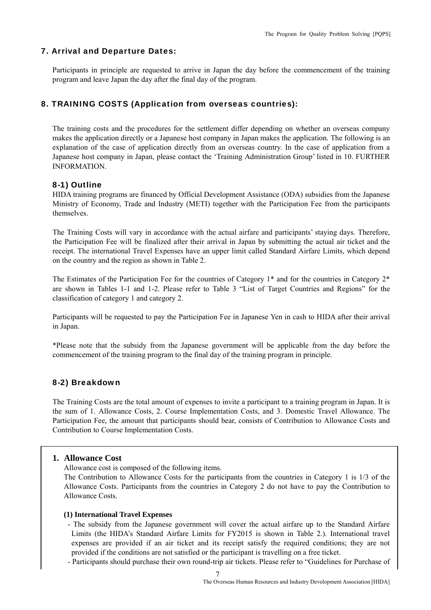#### 7. Arrival and Departure Dates:

Participants in principle are requested to arrive in Japan the day before the commencement of the training program and leave Japan the day after the final day of the program.

#### 8. TRAINING COSTS (Application from overseas countries):

The training costs and the procedures for the settlement differ depending on whether an overseas company makes the application directly or a Japanese host company in Japan makes the application. The following is an explanation of the case of application directly from an overseas country. In the case of application from a Japanese host company in Japan, please contact the 'Training Administration Group' listed in 10. FURTHER INFORMATION.

#### 8-1) Outline

HIDA training programs are financed by Official Development Assistance (ODA) subsidies from the Japanese Ministry of Economy, Trade and Industry (METI) together with the Participation Fee from the participants themselves.

The Training Costs will vary in accordance with the actual airfare and participants' staying days. Therefore, the Participation Fee will be finalized after their arrival in Japan by submitting the actual air ticket and the receipt. The international Travel Expenses have an upper limit called Standard Airfare Limits, which depend on the country and the region as shown in Table 2.

The Estimates of the Participation Fee for the countries of Category 1\* and for the countries in Category 2\* are shown in Tables 1-1 and 1-2. Please refer to Table 3 "List of Target Countries and Regions" for the classification of category 1 and category 2.

Participants will be requested to pay the Participation Fee in Japanese Yen in cash to HIDA after their arrival in Japan.

\*Please note that the subsidy from the Japanese government will be applicable from the day before the commencement of the training program to the final day of the training program in principle.

#### 8-2) Breakdown

The Training Costs are the total amount of expenses to invite a participant to a training program in Japan. It is the sum of 1. Allowance Costs, 2. Course Implementation Costs, and 3. Domestic Travel Allowance. The Participation Fee, the amount that participants should bear, consists of Contribution to Allowance Costs and Contribution to Course Implementation Costs.

#### **1. Allowance Cost**

Allowance cost is composed of the following items.

The Contribution to Allowance Costs for the participants from the countries in Category 1 is 1/3 of the Allowance Costs. Participants from the countries in Category 2 do not have to pay the Contribution to Allowance Costs.

#### **(1) International Travel Expenses**

- The subsidy from the Japanese government will cover the actual airfare up to the Standard Airfare Limits (the HIDA's Standard Airfare Limits for FY2015 is shown in Table 2.). International travel expenses are provided if an air ticket and its receipt satisfy the required conditions; they are not provided if the conditions are not satisfied or the participant is travelling on a free ticket.
- Participants should purchase their own round-trip air tickets. Please refer to "Guidelines for Purchase of

7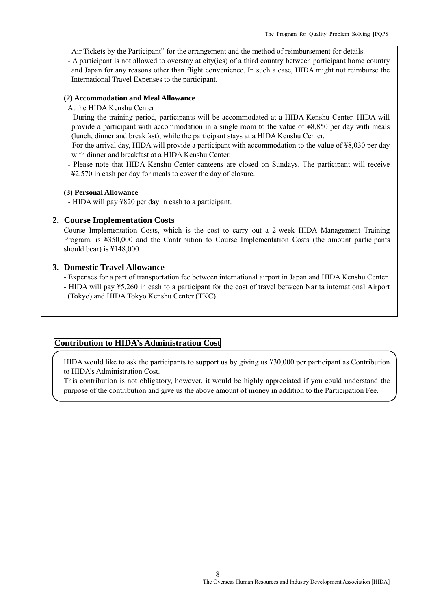Air Tickets by the Participant" for the arrangement and the method of reimbursement for details.

- A participant is not allowed to overstay at city(ies) of a third country between participant home country and Japan for any reasons other than flight convenience. In such a case, HIDA might not reimburse the International Travel Expenses to the participant.

#### **(2) Accommodation and Meal Allowance**

- At the HIDA Kenshu Center
- During the training period, participants will be accommodated at a HIDA Kenshu Center. HIDA will provide a participant with accommodation in a single room to the value of ¥8,850 per day with meals (lunch, dinner and breakfast), while the participant stays at a HIDA Kenshu Center.
- For the arrival day, HIDA will provide a participant with accommodation to the value of ¥8,030 per day with dinner and breakfast at a HIDA Kenshu Center.
- Please note that HIDA Kenshu Center canteens are closed on Sundays. The participant will receive ¥2,570 in cash per day for meals to cover the day of closure.

#### **(3) Personal Allowance**

- HIDA will pay ¥820 per day in cash to a participant.

#### **2. Course Implementation Costs**

Course Implementation Costs, which is the cost to carry out a 2-week HIDA Management Training Program, is ¥350,000 and the Contribution to Course Implementation Costs (the amount participants should bear) is ¥148,000.

#### **3. Domestic Travel Allowance**

- Expenses for a part of transportation fee between international airport in Japan and HIDA Kenshu Center
- HIDA will pay ¥5,260 in cash to a participant for the cost of travel between Narita international Airport (Tokyo) and HIDA Tokyo Kenshu Center (TKC).

#### **Contribution to HIDA's Administration Cost**

HIDA would like to ask the participants to support us by giving us ¥30,000 per participant as Contribution to HIDA's Administration Cost.

This contribution is not obligatory, however, it would be highly appreciated if you could understand the purpose of the contribution and give us the above amount of money in addition to the Participation Fee.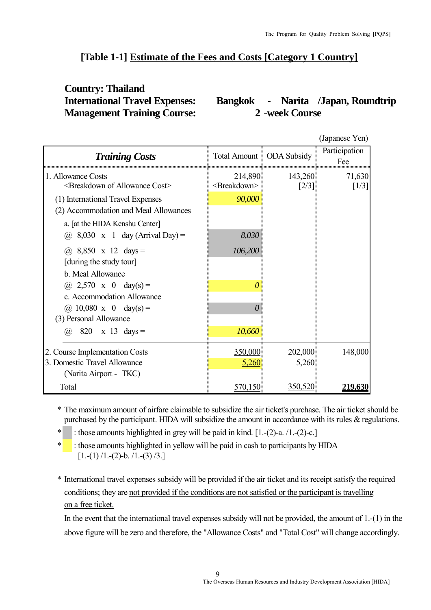## **[Table 1-1] Estimate of the Fees and Costs [Category 1 Country]**

# **Country: Thailand Management Training Course: 2 -week Course**

**International Travel Expenses: Bangkok - Narita /Japan, Roundtrip**

|                                                                               |                                    |                                | (Japanese Yen)                |
|-------------------------------------------------------------------------------|------------------------------------|--------------------------------|-------------------------------|
| <b>Training Costs</b>                                                         |                                    | Total Amount   ODA Subsidy     | Participation<br>Fee          |
| 1. Allowance Costs<br><breakdown allowance="" cost="" of=""></breakdown>      | 214,890<br><breakdown></breakdown> | 143,260<br>$\lceil 2/3 \rceil$ | 71,630<br>$\lceil 1/3 \rceil$ |
| (1) International Travel Expenses<br>(2) Accommodation and Meal Allowances    | 90,000                             |                                |                               |
| a. [at the HIDA Kenshu Center]<br>$8,030 \times 1$ day (Arrival Day) =<br>(a) | 8,030                              |                                |                               |
| (a) $8,850 \times 12 \text{ days} =$<br>[during the study tour]               | 106,200                            |                                |                               |
| b. Meal Allowance                                                             |                                    |                                |                               |
| (a) $2,570 \times 0$ day(s) =<br>c. Accommodation Allowance                   |                                    |                                |                               |
| (a) $10,080 \times 0$ day(s) =                                                | $\theta$                           |                                |                               |
| (3) Personal Allowance<br>820<br>$x \quad 13 \quad days =$<br>(a),            | 10,660                             |                                |                               |
| 2. Course Implementation Costs                                                | 350,000                            | 202,000                        | 148,000                       |
| 3. Domestic Travel Allowance                                                  | 5,260                              | 5,260                          |                               |
| (Narita Airport - TKC)                                                        |                                    |                                |                               |
| Total                                                                         | 570,150                            | 350,520                        | 219,630                       |

\* The maximum amount of airfare claimable to subsidize the air ticket's purchase. The air ticket should be purchased by the participant. HIDA will subsidize the amount in accordance with its rules & regulations.

\* : those amounts highlighted in grey will be paid in kind.  $[1-(2)-a.1-(2)-c.]$ 

\* : those amounts highlighted in yellow will be paid in cash to participants by HIDA  $[1,-(1)$  /1.-(2)-b. /1.-(3) /3.]

\* International travel expenses subsidy will be provided if the air ticket and its receipt satisfy the required conditions; they are not provided if the conditions are not satisfied or the participant is travelling on a free ticket.

In the event that the international travel expenses subsidy will not be provided, the amount of 1.-(1) in the above figure will be zero and therefore, the "Allowance Costs" and "Total Cost" will change accordingly.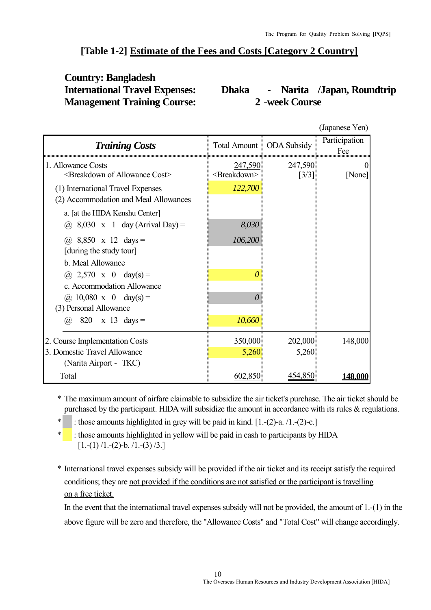#### **[Table 1-2] Estimate of the Fees and Costs [Category 2 Country]**

# **Country: Bangladesh Management Training Course: 2 -week Course**

# **International Travel Expenses: Dhaka - Narita /Japan, Roundtrip**

|                                                                               |                                    |                               | (Japanese Yen)       |
|-------------------------------------------------------------------------------|------------------------------------|-------------------------------|----------------------|
| <b>Training Costs</b>                                                         |                                    | Total Amount   ODA Subsidy    | Participation<br>Fee |
| 1. Allowance Costs<br><breakdown allowance="" cost="" of=""></breakdown>      | 247,590<br><breakdown></breakdown> | 247,590<br>$\left[3/3\right]$ | [None]               |
| (1) International Travel Expenses<br>(2) Accommodation and Meal Allowances    | 122,700                            |                               |                      |
| a. [at the HIDA Kenshu Center]<br>$8,030 \times 1$ day (Arrival Day) =<br>(a) | 8,030                              |                               |                      |
| (a) $8,850 \times 12 \text{ days} =$<br>[during the study tour]               | 106,200                            |                               |                      |
| b. Meal Allowance<br>(a) $2,570 \times 0$ day(s) =                            |                                    |                               |                      |
| c. Accommodation Allowance                                                    |                                    |                               |                      |
| (a) $10,080 \times 0$ day(s) =<br>(3) Personal Allowance                      |                                    |                               |                      |
| 820<br>$x \quad 13 \quad days =$<br>(a),                                      | 10,660                             |                               |                      |
| 2. Course Implementation Costs                                                | 350,000                            | 202,000                       | 148,000              |
| 3. Domestic Travel Allowance<br>(Narita Airport - TKC)                        | 5,260                              | 5,260                         |                      |
| Total                                                                         | 602,850                            | 454,850                       | 148,000              |

\* The maximum amount of airfare claimable to subsidize the air ticket's purchase. The air ticket should be purchased by the participant. HIDA will subsidize the amount in accordance with its rules & regulations.

: those amounts highlighted in grey will be paid in kind.  $[1-(2)-a. /1-(2)-c.]$ 

 $\cdot$ : those amounts highlighted in yellow will be paid in cash to participants by HIDA  $[1,-(1)$  /1.-(2)-b. /1.-(3) /3.]

\* International travel expenses subsidy will be provided if the air ticket and its receipt satisfy the required conditions; they are not provided if the conditions are not satisfied or the participant is travelling on a free ticket.

In the event that the international travel expenses subsidy will not be provided, the amount of 1.-(1) in the above figure will be zero and therefore, the "Allowance Costs" and "Total Cost" will change accordingly.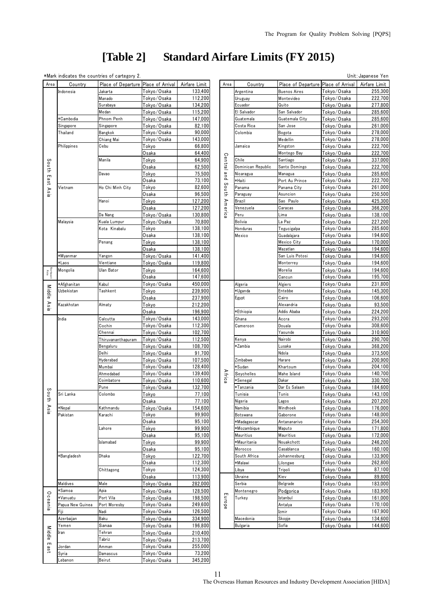# **[Table 2] Standard Airfare Limits (FY 2015)**

\*Mark indicates the countries of cartegory 2. Unit:Japanese Yen

| Area             | Country          | Place of Departure Place of Arrival   Airfare Limit |                      |         | Area                      | Country             | Place of Departure Place of Arrival |                     | Airfare Limit |
|------------------|------------------|-----------------------------------------------------|----------------------|---------|---------------------------|---------------------|-------------------------------------|---------------------|---------------|
|                  | Indonesia        | Jakarta                                             | Tokvo/Osaka          | 133,400 |                           | Argentina           | <b>Buenos Aires</b>                 | Tokyo/Osaka         | 255,30        |
|                  |                  | Manado                                              | Tokyo/Osaka          | 112,200 |                           | Uruguay             | Montevideo                          | Tokyo/Osaka         | 222,70        |
|                  |                  | Surabaya                                            | Tokyo/Osaka          | 134,200 |                           | Ecuador             | Quito                               | Tokyo/Osaka         | 277,80        |
|                  |                  | Medan                                               | <u> Tokyo/Osaka</u>  | 115,200 |                           | El Salvador         | San Salvador                        | <u> Tokyo/Osaka</u> | 285,60        |
|                  | *Cambodia        | Phnom Penh                                          | Tokyo/Osaka          | 147,000 |                           | Guatemala           | Guatemala Citv                      | Tokyo/Osaka         | 285,60        |
|                  | Singapore        | Singapore                                           | Tokyo/Osaka          | 82,100  |                           | Costa Rica          | San Jose                            | Tokyo/Osaka         | 261,00        |
|                  | Thailand         | Bangkok                                             | Tokyo/Osaka          | 90,000  |                           | Colombia            | Bogota                              | Tokyo/Osaka         | 278,00        |
|                  |                  | Chiang Mai                                          | Tokyo/Osaka          | 143,000 |                           |                     | Medellin                            | Tokyo/Osaka         | 278,00        |
|                  | Philippines      | Cebu                                                | Tokyo                | 66,800  |                           | Jamaica             | Kingston                            | <u>Tokyo/Osaka</u>  | 222,70        |
|                  |                  |                                                     | Osaka                | 64,400  |                           |                     | Montego Bay                         | Tokyo/Osaka         | 222,70        |
|                  |                  | Manila                                              | Tokyo                | 64,900  |                           | Chile               | Santiago                            | Tokyo/Osaka         | 337,00        |
| South            |                  |                                                     | Osaka                | 62,500  | Central and South America | Dominican Republic  | Santo Domingo                       | Tokyo/Osaka         | 222,70        |
|                  |                  | Davao                                               | Tokyo                | 75,500  |                           |                     | Managua                             |                     | 285,60        |
| $\blacksquare$   |                  |                                                     |                      | 73,100  |                           | Nicaragua<br>*Haiti |                                     | Tokyo/Osaka         |               |
| ast Asia         |                  |                                                     | Osaka                |         |                           |                     | Port Au Prince                      | Tokyo/Osaka         | 222,70        |
|                  | Vietnam          | Ho Chi Minh City                                    | Tokyo                | 82,600  |                           | Panama              | Panama City                         | Tokyo/Osaka         | 261,00        |
|                  |                  |                                                     | Osaka                | 96,500  |                           | Paraguay            | Asuncion                            | <u>Tokyo/Osaka</u>  | 250,50        |
|                  |                  | Hanoi                                               | Tokyo                | 127,200 |                           | Brazil              | Sao Paulo                           | Tokyo/Osaka         | 425,30        |
|                  |                  |                                                     | Osaka                | 127,200 |                           | Venezuela           | Caracas                             | Tokyo/Osaka         | 366,20        |
|                  |                  | Da Nang                                             | Tokyo/Osaka          | 130,800 |                           | Peru                | Lima                                | Tokyo/Osaka         | 138,10        |
|                  | Malaysia         | Kuala Lumpur                                        | Tokyo/Osaka          | 70,800  |                           | Bolivia             | La Paz                              | Tokyo/Osaka         | 227,20        |
|                  |                  | Kota Kinabalu                                       | Tokyo                | 138,100 |                           | Honduras            | Tegucigalpa                         | Tokyo/Osaka         | 285,60        |
|                  |                  |                                                     | Osaka                | 138,100 |                           | Mexico              | Guadalajara                         | Tokyo/Osaka         | 194,60        |
|                  |                  | Penang                                              | Tokyo                | 138,100 |                           |                     | Mexico City                         | Tokyo/Osaka         | 170,00        |
|                  |                  |                                                     | Osaka                | 138,100 |                           |                     | Mazatlan                            | Tokyo/Osaka         | 194,60        |
|                  | *Myanmar         | Yangon                                              | Tokyo/Osaka          | 141,400 |                           |                     | San Luis Potosi                     | Tokyo/Osaka         | 194,60        |
|                  | *Laos            | Vientiane                                           | Tokyo/Osaka          | 119,800 |                           |                     | Monterrey                           | Tokyo/Osaka         | 194,60        |
|                  | Mongolia         | Ulan Bator                                          | Tokyo                | 164,600 |                           |                     | Morelia                             | Tokyo/Osaka         | 194,60        |
| Norteast<br>Asia |                  |                                                     | Osaka                | 147,600 |                           |                     | Cancun                              | Tokyo/Osaka         | 195,70        |
|                  | *Afghanitan      | Kabul                                               | Tokyo/Osaka          | 450,000 |                           | Algeria             | Algiers                             | Tokyo/Osaka         | 231,80        |
| <b>Middle</b>    | Uzbekistan       | Tashkent                                            | Tokyo                | 239,900 |                           | *Uganda             | Entebbe                             | Tokyo/Osaka         | 145,30        |
|                  |                  |                                                     | Osaka                | 237,900 |                           | Egypt               | Cairo                               | Tokyo/Osaka         | 106,60        |
| Asia             | Kazakhstan       | Almaty                                              | Tokyo                | 212,200 |                           |                     | Alexandria                          | Tokyo/Osaka         | 93,50         |
|                  |                  |                                                     | Osaka                | 196,900 |                           | ∗Ethiopia           | Addis Ababa                         | Tokyo/Osaka         | 224,20        |
|                  | India            | Calcutta                                            | Tokyo/Osaka          | 143,000 |                           | Ghana               | Accra                               | Tokyo/Osaka         | 293,20        |
|                  |                  | Cochin                                              |                      | 112,300 |                           | Cameroon            | Douala                              |                     |               |
|                  |                  |                                                     | Tokyo/Osaka          |         |                           |                     |                                     | Tokyo/Osaka         | 308,60        |
|                  |                  | Chennai                                             | Tokyo/Osaka          | 102,700 |                           |                     | Yaounde                             | Tokyo/Osaka         | 310,90        |
|                  |                  | Thiruvananthapuram                                  | Tokyo/Osaka          | 112,500 |                           | Kenya               | Nairobi                             | Tokyo/Osaka         | 290,70        |
|                  |                  | Bengaluru                                           | <u> Tokyo/Osaka</u>  | 108,700 |                           | *Zambia             | Lusaka                              | Tokyo/Osaka         | 368,20        |
|                  |                  | Delhi                                               | Tokyo/Osaka          | 91,700  |                           |                     | Ndola                               | Tokyo/Osaka         | 373,50        |
|                  |                  | Hyderabad                                           | Tokyo/Osaka          | 107,500 |                           | Zimbabwe            | Harare                              | Tokyo/Osaka         | 200,90        |
|                  |                  | Mumbai                                              | Tokyo/Osaka          | 128,400 |                           | Sudan               | Khartoum                            | Tokyo/Osaka         | 204,10        |
|                  |                  | Ahmedabad                                           | Tokyo/Osaka          | 139,400 | Africa                    | Seychelles          | Mahe Island                         | Tokyo/Osaka         | 140,70        |
|                  |                  | Coimbatore                                          | Tokyo/Osaka          | 110,600 |                           | Senegal             | Dakar                               | Tokyo/Osaka         | 330,70        |
|                  |                  | Pune                                                | Tokyo/Osaka          | 132,700 |                           | ∗Tanzania           | Dar Es Salaam                       | Tokyo/Osaka         | 184,60        |
| South            | Sri Lanka        | Colombo                                             | <u>Tokyo</u>         | 77,100  |                           | Tunisia             | Tunis                               | <u>Tokyo/Osaka</u>  | 143,10        |
|                  |                  |                                                     | Osaka                | 77,100  |                           | Nigeria             | Lagos                               | Tokyo/Osaka         | 207,20        |
| Asia             | *Nepal           | Kathmandu                                           | Tokyo/Osaka          | 154,600 |                           | Namibia             | Windhoek                            | Tokyo/Osaka         | 176,00        |
|                  | Pakistan         | Karachi                                             | Tokyo                | 99,900  |                           | Botswana            | Gaborone                            | Tokyo/Osaka         | 148,00        |
|                  |                  |                                                     | Osaka                | 95,100  |                           | Madagascar          | Antananarivo                        | Tokyo/Osaka         | 254,30        |
|                  |                  | Lahore                                              | Tokyo                | 99,900  |                           | <b>Mozambique</b>   | Maputo                              | Tokyo/Osaka         | 171,80        |
|                  |                  |                                                     | Osaka                | 95,100  |                           | Mauritius           | Mauritius                           | Tokyo/Osaka         | 172,00        |
|                  |                  | Islamabad                                           | Tokyo                | 99,900  |                           | ∗Mauritania         | Nouakchott                          | <u>Tokyo/Osaka</u>  | 246,20        |
|                  |                  |                                                     | Osaka                | 95,100  |                           | Morocco             | Casablanca                          | Tokyo/Osaka         | 160,10        |
|                  | *Bangladesh      | Dhaka                                               | Tokyo                | 122,700 |                           | South Africa        | Johannesburg                        | Tokyo/Osaka         | 133,90        |
|                  |                  |                                                     | Osaka                | 112,300 |                           | <b>Malawi</b>       | Lilongwe                            | Tokyo/Osaka         | 262,80        |
|                  |                  | Chittagong                                          | Tokyo                | 124,300 |                           | Libya               | Tripoli                             | Tokyo/Osaka         | 87,10         |
|                  |                  |                                                     |                      | 113,900 |                           | Ukraine             | Kiev                                | Tokyo/Osaka         | 89,80         |
|                  |                  |                                                     | Osaka                |         |                           |                     |                                     |                     |               |
|                  | Maldives         | Male                                                | Tokyo/Osaka          | 282,000 |                           | Serbia              | Belgrade                            | Tokyo/Osaka         | 183,00        |
|                  | *Samoa           | Apia                                                | Tokyo/Osaka          | 128,500 |                           | Montenegro          | Podgorica                           | Tokyo/Osaka         | 183,90        |
|                  | *Vanuatu         | Port Vila                                           | Tokyo/Osaka          | 198,500 | Europe                    | Turkey              | Istanbul                            | Tokyo/Osaka         | 161,00        |
| O ceania         | Papua New Guinea | Port Moresby                                        | Tokyo/Osaka          | 249,600 |                           |                     | Antalya                             | Tokyo/Osaka         | 170,10        |
|                  | Fiji             | Nadi                                                | Tokyo/Osaka          | 126,500 |                           |                     | Izmir                               | Tokyo/Osaka         | 167,90        |
|                  | Azerbaijan       | Baku                                                | Tokyo/Osaka          | 334,900 |                           | Macedonia           | Skopje                              | Tokyo/Osaka         | 134,60        |
|                  | Yemen            | Sanaa                                               | Tokyo/Osaka          | 196,800 |                           | <b>Bulgaria</b>     | Sofia                               | Tokyo/Osaka         | 144,60        |
| <b>Middle</b>    | Iran             | Tehran                                              | Tokyo/Osaka          | 210,400 |                           |                     |                                     |                     |               |
|                  |                  | Tabriz                                              | Tokyo/Osaka          | 213,700 |                           |                     |                                     |                     |               |
| East             | Jordan           | Amman                                               | <u> Tokyo/Osaka </u> | 255,000 |                           |                     |                                     |                     |               |
|                  | Syria            | Damascus                                            | <u>Tokyo/Osaka </u>  | 73,200  |                           |                     |                                     |                     |               |
|                  | Lebanon          | Beirut                                              | Tokyo/Osaka          | 345,200 |                           |                     |                                     |                     |               |
|                  |                  |                                                     |                      |         |                           |                     |                                     |                     |               |

| Country          | Place of Departure Place of Arrival |                    | Airfare Limit     | Area    | Country                    | Place of Departure Place of Arrival   Airfare Limit |                            |                    |
|------------------|-------------------------------------|--------------------|-------------------|---------|----------------------------|-----------------------------------------------------|----------------------------|--------------------|
| Indonesia        | Jakarta                             | Tokyo/Osaka        | 133,400           |         | Argentina                  | Buenos Aires                                        | Tokyo/Osaka                | 255.300            |
|                  | Manado                              | Tokyo/Osaka        | 112,200           |         | Uruguay                    | Montevideo                                          | Tokyo/Osaka                | 222,700            |
|                  | Surabaya                            | Tokyo/Osaka        | 134,200           |         | Ecuador                    | Quito                                               | Tokyo/Osaka                | 277,800            |
|                  | Medan                               | Tokyo/Osaka        | 115,200           |         | El Salvador                | San Salvador                                        | Tokyo/Osaka                | 285,600            |
| *Cambodia        | Phnom Penh                          | Tokyo/Osaka        | 147,000           |         | Guatemala                  | Guatemala City                                      | Tokyo/Osaka                | 285,600            |
| Singapore        | Singapore                           | Tokyo/Osaka        | 82,100            |         | Costa Rica                 | San Jose                                            | Tokyo/Osaka                | 261,000            |
| Thailand         | Bangkok                             | <u>Tokyo/Osaka</u> | 90,000            |         | Colombia                   | Bogota                                              | <u>Tokyo/Osaka</u>         | 278,000            |
|                  | Chiang Mai                          | Tokyo/Osaka        | 143,000           |         |                            | Medellin                                            | <u>Tokyo/Osaka</u>         | 278,000            |
| Philippines      | Cebu                                | Tokyo              | 66,800            |         | Jamaica                    | Kingston                                            | Tokyo/Osaka                | 222,700            |
|                  |                                     | Osaka              | 64,400            |         |                            | Montego Bay                                         | Tokyo/Osaka                | 222,700            |
|                  | Manila                              | Tokyo              | 64,900            | Central | Chile                      | Santiago                                            | Tokyo/Osaka                | 337,000            |
|                  |                                     | Osaka              | 62,500            |         | Dominican Republic         | Santo Domingo                                       | Tokyo/Osaka                | 222,700            |
|                  | Davao                               | Tokyo              | 75,500            | and     | Nicaragua                  | Managua                                             | Tokyo/Osaka                | 285,600            |
|                  |                                     | <u>Osaka</u>       | 73,100            |         | *Haiti                     | Port Au Prince                                      | Tokyo/Osaka                | 222,700            |
| Vietnam          | Ho Chi Minh City                    | <u>Tokyo</u>       | 82,600            | South   | Panama                     | Panama City                                         | Tokyo/Osaka                | 261,000            |
|                  |                                     | Osaka              | 96,500            |         | Paraguay                   | Asuncion                                            | Tokyo/Osaka                | 250,500            |
|                  | Hanoi                               | Tokyo              | 127,200           | Americ  | Brazil                     | Sao Paulo                                           | Tokyo/Osaka                | 425,300            |
|                  |                                     | Osaka              | 127,200           |         | Venezuela                  | Caracas                                             | Tokyo/Osaka                | 366,200            |
|                  | Da Nang                             | Tokyo/Osaka        | 130,800           |         | Peru                       | Lima                                                | Tokyo/Osaka                | 138,100            |
| Malaysia         | Kuala Lumpur                        | Tokyo/Osaka        | 70,800            |         | Bolivia                    | La Paz                                              | Tokyo/Osaka                | 227,200            |
|                  | Kota Kinabalu                       | <u>Tokyo</u>       | 138,100           |         | Honduras                   | Tegucigalpa                                         | <u>Tokyo/Osaka</u>         | 285,600            |
|                  |                                     | Osaka              | 138,100           |         | Mexico                     | Guadalajara                                         | Tokyo/Osaka                | 194,600            |
|                  | Penang                              | Tokyo              | 138,100           |         |                            | Mexico City                                         | Tokyo/Osaka                | 170,000            |
|                  |                                     | Osaka              | 138,100           |         |                            | Mazatlan                                            | Tokyo/Osaka                | 194,600            |
| *Myanmar         | Yangon                              | Tokyo/Osaka        | 141,400           |         |                            | San Luis Potosi                                     | Tokyo/Osaka                | 194,600            |
| ∗Laos            | Vientiane                           | Tokyo/Osaka        | 119,800           |         |                            | Monterrey                                           | Tokyo/Osaka                | 194,600            |
| Mongolia         | Ulan Bator                          | Tokyo              | 164,600           |         |                            | Morelia                                             | Tokyo/Osaka                | 194,600            |
|                  |                                     | Osaka              | 147,600           |         |                            | Cancun                                              | Tokyo/Osaka                | 195,700            |
| *Afghanitan      | Kabul                               | Tokyo/Osaka        | 450.000           |         | Algeria                    | Algiers                                             | Tokyo/Osaka                | 231,800            |
| Uzbekistan       | Tashkent                            | Tokyo              | 239,900           |         | ∗Uganda                    | Entebbe                                             | Tokyo/Osaka                | 145,300            |
|                  |                                     | <u>Osaka</u>       | 237,900           |         | Egypt                      | Cairo                                               | Tokyo/Osaka                | 106,600            |
| Kazakhstan       | Almaty                              | Tokyo              | 212,200           |         |                            | Alexandria                                          | Tokyo/Osaka                | 93,500             |
|                  |                                     | Osaka              | 196,900           |         | *Ethiopia                  | Addis Ababa                                         | Tokyo/Osaka                | 224,200            |
| India            | Calcutta                            | Tokyo/Osaka        | 143,000           |         | Ghana                      | Accra                                               | Tokyo/Osaka                | 293,200            |
|                  | Cochin                              | Tokyo/Osaka        | 112,300           |         | Cameroon                   | Douala                                              | Tokyo/Osaka                | 308,600            |
|                  | Chennai                             | <u>Tokyo/Osaka</u> | 102,700           |         |                            | Yaounde                                             | <u>Tokyo/Osaka</u>         | 310,900            |
|                  | Thiruvananthapuram                  | <u>Tokyo/Osaka</u> | 112,500           |         | Kenya                      | Nairobi                                             | <u>Tokyo/Osaka</u>         | 290,700            |
|                  | Bengaluru                           | Tokyo/Osaka        | 108,700           |         | *Zambia                    | Lusaka                                              | Tokyo/Osaka                | 368,200            |
|                  | Delhi                               | Tokyo/Osaka        | 91,700            |         |                            | Ndola                                               | Tokyo/Osaka                | 373,500            |
|                  | Hyderabad                           | Tokyo/Osaka        | 107,500           |         | Zimbabwe                   | Harare                                              | Tokyo/Osaka                | 200,900            |
|                  | Mumbai                              | <u>Tokyo/Osaka</u> | 128,400           |         | ∗Sudan                     | Khartoum                                            | <u>Tokyo/Osaka</u>         | 204,100            |
|                  | Ahmedabad                           | Tokyo/Osaka        | 139,400           | Africa  | Seychelles                 | Mahe Island                                         | Tokyo/Osaka                | 140,700            |
|                  | Coimbatore                          | Tokyo/Osaka        | 110,600           |         | *Senegal                   | Dakar                                               | Tokyo/Osaka                | 330,700            |
|                  | Pune                                | Tokyo/Osaka        | 132,700           |         | *Tanzania                  | Dar Es Salaam                                       | Tokyo/Osaka                | 184,600            |
| Sri Lanka        | Colombo                             | Tokyo              | 77,100            |         | Tunisia                    | Tunis                                               | Tokyo/Osaka                | 143,100            |
|                  |                                     | Osaka              | 77,100<br>154,600 |         | Nigeria                    | Lagos                                               | Tokyo/Osaka                | 207,200<br>176,000 |
| *Nepal           | Kathmandu                           | Tokyo/Osaka        | 99,900            |         | Namibia                    | Windhoek                                            | Tokyo/Osaka                | 148,000            |
| Pakistan         | Karachi                             | Tokyo              | 95,100            |         | Botswana                   | Gaborone                                            | Tokyo/Osaka<br>Tokyo/Osaka | 254,300            |
|                  | Lahore                              | Osaka              | 99,900            |         | *Madagascar<br>*Mozambique | Antananarivo<br>Maputo                              |                            | 171,800            |
|                  |                                     | Tokyo<br>Osaka     | 95,100            |         | Mauritius                  | Mauritius                                           | Tokyo/Osaka<br>Tokyo/Osaka | 172,000            |
|                  | Islamabad                           | Tokyo              | 99,900            |         | *Mauritania                | Nouakchott                                          | Tokyo/Osaka                | 246,200            |
|                  |                                     | Osaka              | 95,100            |         | Morocco                    | Casablanca                                          | Tokyo/Osaka                | 160,100            |
| *Bangladesh      | Dhaka                               | Tokyo              | 122,700           |         | South Africa               | Johannesburg                                        | Tokyo/Osaka                | 133.900            |
|                  |                                     | Osaka              | 112,300           |         | ∗Malawi                    | Lilongwe                                            | Tokyo/Osaka                | 262,800            |
|                  | Chittagong                          | Tokyo              | 124,300           |         | Libya                      | Tripoli                                             | Tokyo/Osaka                | 87,100             |
|                  |                                     | Osaka              | 113,900           |         | Ukraine                    | Kiev                                                | Tokyo/Osaka                | 89,800             |
| Maldives         | Male                                | Tokyo/Osaka        | 282,000           |         | Serbia                     | Belgrade                                            | Tokyo/Osaka                | 183,000            |
| *Samoa           | Apia                                | Tokyo/Osaka        | 128,500           |         | Montenegro                 | Podgorica                                           | Tokyo/Osaka                | 183,900            |
| *Vanuatu         | Port Vila                           | Tokyo/Osaka        | 198,500           |         | Turkey                     | Istanbul                                            | Tokyo/Osaka                | 161,000            |
| Papua New Guinea | Port Moresby                        | Tokyo/Osaka        | 249,600           | Europe  |                            | Antalya                                             | Tokyo/Osaka                | 170,100            |
| Fiji             | Nadi                                | Tokyo/Osaka        | 126,500           |         |                            | Izmir                                               | Tokyo/Osaka                | 167,900            |
| Azerbaijan       | Baku                                | Tokyo/Osaka        | 334,900           |         | Macedonia                  | Skopje                                              | Tokyo/Osaka                | 134,600            |
| Yemen            | Sanaa                               | Tokyo/Osaka        | 196,800           |         | Bulgaria                   | Sofia                                               | Tokyo/Osaka                | 144,600            |
|                  |                                     |                    |                   |         |                            |                                                     |                            |                    |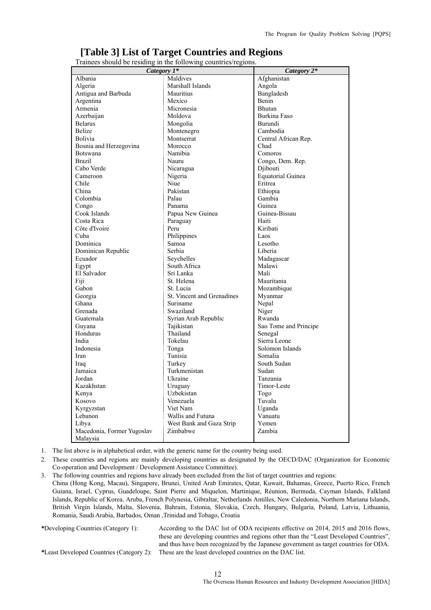#### **[Table 3] List of Target Countries and Regions**

Trainees should be residing in the following countries/regions.

| Category 1*                | Category 2*                |                          |
|----------------------------|----------------------------|--------------------------|
| Albania                    | Maldives                   | Afghanistan              |
| Algeria                    | Marshall Islands           | Angola                   |
| Antigua and Barbuda        | Mauritius                  | Bangladesh               |
| Argentina                  | Mexico                     | Benin                    |
| Armenia                    | Micronesia                 | Bhutan                   |
| Azerbaijan                 | Moldova                    | Burkina Faso             |
| <b>Belarus</b>             | Mongolia                   | Burundi                  |
| <b>Belize</b>              | Montenegro                 | Cambodia                 |
| <b>Bolivia</b>             | Montserrat                 | Central African Rep.     |
| Bosnia and Herzegovina     | Morocco                    | Chad                     |
| Botswana                   | Namibia                    | Comoros                  |
| <b>Brazil</b>              | Nauru                      | Congo, Dem. Rep.         |
| Cabo Verde                 | Nicaragua                  | Djibouti                 |
| Cameroon                   | Nigeria                    | <b>Equatorial Guinea</b> |
| Chile                      | Niue                       | Eritrea                  |
| China                      | Pakistan                   | Ethiopia                 |
| Colombia                   | Palau                      | Gambia                   |
| Congo                      | Panama                     | Guinea                   |
| Cook Islands               | Papua New Guinea           | Guinea-Bissau            |
| Costa Rica                 | Paraguay                   | Haiti                    |
| Côte d'Ivoire              | Peru                       | Kiribati                 |
| Cuba                       | Philippines                | Laos                     |
| Dominica                   | Samoa                      | Lesotho                  |
| Dominican Republic         | Serbia                     | Liberia                  |
| Ecuador                    | Seychelles                 | Madagascar               |
| Egypt                      | South Africa               | Malawi                   |
| El Salvador                | Sri Lanka                  | Mali                     |
| Fiji                       | St. Helena                 | Mauritania               |
| Gabon                      | St. Lucia                  | Mozambique               |
| Georgia                    | St. Vincent and Grenadines | Myanmar                  |
| Ghana                      | Suriname                   | Nepal                    |
| Grenada                    | Swaziland                  | Niger                    |
| Guatemala                  | Syrian Arab Republic       | Rwanda                   |
| Guyana                     | Tajikistan                 | Sao Tome and Principe    |
| Honduras                   | Thailand                   | Senegal                  |
| India                      | Tokelau                    | Sierra Leone             |
| Indonesia                  | Tonga                      | Solomon Islands          |
| Iran                       | Tunisia                    | Somalia                  |
| Iraq                       | Turkey                     | South Sudan              |
| Jamaica                    | Turkmenistan               | Sudan                    |
| Jordan                     | Ukraine                    | Tanzania                 |
| Kazakhstan                 | Uruguay                    | Timor-Leste              |
| Kenya                      | Uzbekistan                 | Togo                     |
| Kosovo                     | Venezuela                  | Tuvalu                   |
| Kyrgyzstan                 | Viet Nam                   | Uganda                   |
| Lebanon                    | Wallis and Futuna          | Vanuatu                  |
| Libya                      | West Bank and Gaza Strip   | Yemen                    |
| Macedonia, Former Yugoslav | Zimbabwe                   | Zambia                   |
| Malaysia                   |                            |                          |

1. The list above is in alphabetical order, with the generic name for the country being used.

2. These countries and regions are mainly developing countries as designated by the OECD/DAC (Organization for Economic Co-operation and Development / Development Assistance Committee).

3. The following countries and regions have already been excluded from the list of target countries and regions:

China (Hong Kong, Macau), Singapore, Brunei, United Arab Emirates, Qatar, Kuwait, Bahamas, Greece, Puerto Rico, French Guiana, Israel, Cyprus, Guadeloupe, Saint Pierre and Miquelon, Martinique, Réunion, Bermuda, Cayman Islands, Falkland Islands, Republic of Korea, Aruba, French Polynesia, Gibraltar, Netherlands Antilles, New Caledonia, Northern Mariana Islands, British Virgin Islands, Malta, Slovenia, Bahrain, Estonia, Slovakia, Czech, Hungary, Bulgaria, Poland, Latvia, Lithuania, Romania, Saudi Arabia, Barbados, Oman ,Trinidad and Tobago, Croatia

*\**Developing Countries (Category 1): According to the DAC list of ODA recipients effective on 2014, 2015 and 2016 flows, these are developing countries and regions other than the "Least Developed Countries", and thus have been recognized by the Japanese government as target countries for ODA. *\**Least Developed Countries (Category 2): These are the least developed countries on the DAC list.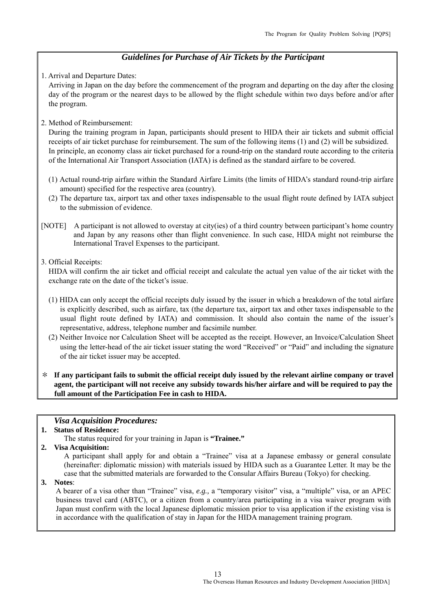#### *Guidelines for Purchase of Air Tickets by the Participant*

1. Arrival and Departure Dates:

Arriving in Japan on the day before the commencement of the program and departing on the day after the closing day of the program or the nearest days to be allowed by the flight schedule within two days before and/or after the program.

2. Method of Reimbursement:

During the training program in Japan, participants should present to HIDA their air tickets and submit official receipts of air ticket purchase for reimbursement. The sum of the following items (1) and (2) will be subsidized. In principle, an economy class air ticket purchased for a round-trip on the standard route according to the criteria of the International Air Transport Association (IATA) is defined as the standard airfare to be covered.

- (1) Actual round-trip airfare within the Standard Airfare Limits (the limits of HIDA's standard round-trip airfare amount) specified for the respective area (country).
- (2) The departure tax, airport tax and other taxes indispensable to the usual flight route defined by IATA subject to the submission of evidence.
- [NOTE] A participant is not allowed to overstay at city(ies) of a third country between participant's home country and Japan by any reasons other than flight convenience. In such case, HIDA might not reimburse the International Travel Expenses to the participant.
- 3. Official Receipts:

HIDA will confirm the air ticket and official receipt and calculate the actual yen value of the air ticket with the exchange rate on the date of the ticket's issue.

- (1) HIDA can only accept the official receipts duly issued by the issuer in which a breakdown of the total airfare is explicitly described, such as airfare, tax (the departure tax, airport tax and other taxes indispensable to the usual flight route defined by IATA) and commission. It should also contain the name of the issuer's representative, address, telephone number and facsimile number.
- (2) Neither Invoice nor Calculation Sheet will be accepted as the receipt. However, an Invoice/Calculation Sheet using the letter-head of the air ticket issuer stating the word "Received" or "Paid" and including the signature of the air ticket issuer may be accepted.

\* **If any participant fails to submit the official receipt duly issued by the relevant airline company or travel agent, the participant will not receive any subsidy towards his/her airfare and will be required to pay the full amount of the Participation Fee in cash to HIDA.** 

#### *Visa Acquisition Procedures:*

#### **1. Status of Residence:**

The status required for your training in Japan is **"Trainee."**

**2. Visa Acquisition:** 

A participant shall apply for and obtain a "Trainee" visa at a Japanese embassy or general consulate (hereinafter: diplomatic mission) with materials issued by HIDA such as a Guarantee Letter. It may be the case that the submitted materials are forwarded to the Consular Affairs Bureau (Tokyo) for checking.

**3. Notes**:

A bearer of a visa other than "Trainee" visa, *e.g.,* a "temporary visitor" visa, a "multiple" visa, or an APEC business travel card (ABTC), or a citizen from a country/area participating in a visa waiver program with Japan must confirm with the local Japanese diplomatic mission prior to visa application if the existing visa is in accordance with the qualification of stay in Japan for the HIDA management training program.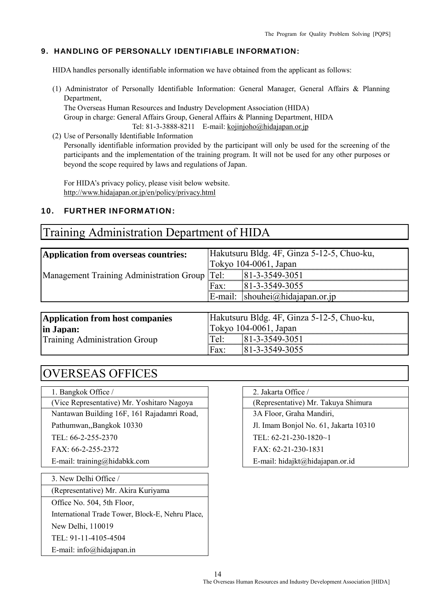#### 9. HANDLING OF PERSONALLY IDENTIFIABLE INFORMATION:

HIDA handles personally identifiable information we have obtained from the applicant as follows:

(1) Administrator of Personally Identifiable Information: General Manager, General Affairs & Planning Department,

 The Overseas Human Resources and Industry Development Association (HIDA) Group in charge: General Affairs Group, General Affairs & Planning Department, HIDA Tel: 81-3-3888-8211 E-mail: kojinjoho@hidajapan.or.jp

(2) Use of Personally Identifiable Information Personally identifiable information provided by the participant will only be used for the screening of the participants and the implementation of the training program. It will not be used for any other purposes or beyond the scope required by laws and regulations of Japan.

For HIDA's privacy policy, please visit below website. http://www.hidajapan.or.jp/en/policy/privacy.html

#### 10. FURTHER INFORMATION:

#### Training Administration Department of HIDA

| Application from overseas countries:                         |                          | Hakutsuru Bldg. 4F, Ginza 5-12-5, Chuo-ku,  |  |  |
|--------------------------------------------------------------|--------------------------|---------------------------------------------|--|--|
|                                                              | Tokyo $104-0061$ , Japan |                                             |  |  |
| Management Training Administration Group Tel: 81-3-3549-3051 |                          |                                             |  |  |
|                                                              | $\Gamma$ Fax:            | 81-3-3549-3055                              |  |  |
|                                                              |                          | $\mathbb{E}$ -mail: shouhei@hidajapan.or.jp |  |  |
|                                                              |                          |                                             |  |  |
| Application from host companies                              |                          | Hakutsuru Bldg. 4F, Ginza 5-12-5, Chuo-ku,  |  |  |

**in Japan:** Training Administration Group

|                                             | Hakutsuru Bldg. 4F, Ginza 5-12-5, Chuo-ku, |  |  |  |  |  |
|---------------------------------------------|--------------------------------------------|--|--|--|--|--|
|                                             | Tokyo 104-0061, Japan                      |  |  |  |  |  |
| Tel:<br>,,,,,,,,,,,,,,,,,,,,,,,,,,,,,,,,,,, | 81-3-3549-3051                             |  |  |  |  |  |
| Fax:                                        | 181-3-3549-3055                            |  |  |  |  |  |
|                                             |                                            |  |  |  |  |  |

# OVERSEAS OFFICES

| 1. Bangkok Office /                   |  |
|---------------------------------------|--|
| (Vice Representative) Mr. Voshitaro N |  |

Nantawan Building 16F, 161 Rajadamri Road, | 3A Floor, Graha Mandiri,

| 3. New Delhi Office / |  |
|-----------------------|--|
|-----------------------|--|

(Representative) Mr. Akira Kuriyama

Office No. 504, 5th Floor,

International Trade Tower, Block-E, Nehru Place,

New Delhi, 110019

TEL: 91-11-4105-4504

E-mail: info@hidajapan.in

#### 2. Jakarta Office /

(Vice Representative) Mr. Yoshitaro Nagoya (Representative) Mr. Takuya Shimura

Pathumwan,,Bangkok 10330 Jl. Imam Bonjol No. 61, Jakarta 10310

TEL: 66-2-255-2370 TEL: 62-21-230-1820~1

FAX: 66-2-255-2372 FAX: 62-21-230-1831

E-mail: training@hidabkk.com <br>
E-mail: hidajkt@hidajapan.or.id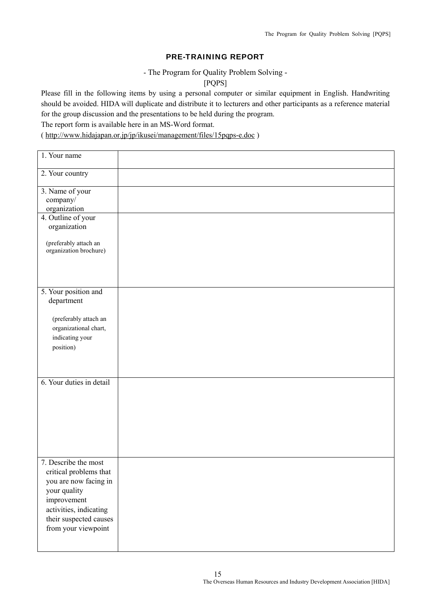#### PRE-TRAINING REPORT

- The Program for Quality Problem Solving -

[PQPS]

Please fill in the following items by using a personal computer or similar equipment in English. Handwriting should be avoided. HIDA will duplicate and distribute it to lecturers and other participants as a reference material for the group discussion and the presentations to be held during the program.

The report form is available here in an MS-Word format.

( http://www.hidajapan.or.jp/jp/ikusei/management/files/15pqps-e.doc )

| 1. Your name                                                                                                                                                                      |  |
|-----------------------------------------------------------------------------------------------------------------------------------------------------------------------------------|--|
| 2. Your country                                                                                                                                                                   |  |
| 3. Name of your<br>company/<br>organization                                                                                                                                       |  |
| 4. Outline of your<br>organization                                                                                                                                                |  |
| (preferably attach an<br>organization brochure)                                                                                                                                   |  |
| 5. Your position and<br>department                                                                                                                                                |  |
| (preferably attach an<br>organizational chart,<br>indicating your<br>position)                                                                                                    |  |
| 6. Your duties in detail                                                                                                                                                          |  |
| 7. Describe the most<br>critical problems that<br>you are now facing in<br>your quality<br>improvement<br>activities, indicating<br>their suspected causes<br>from your viewpoint |  |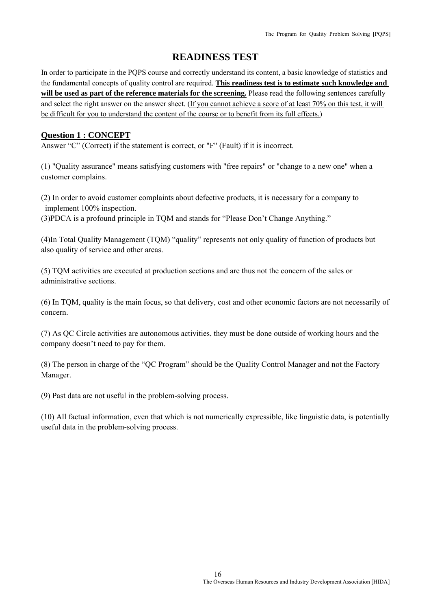#### **READINESS TEST**

In order to participate in the PQPS course and correctly understand its content, a basic knowledge of statistics and the fundamental concepts of quality control are required. **This readiness test is to estimate such knowledge and will be used as part of the reference materials for the screening.** Please read the following sentences carefully and select the right answer on the answer sheet. (If you cannot achieve a score of at least 70% on this test, it will be difficult for you to understand the content of the course or to benefit from its full effects.)

#### **Question 1 : CONCEPT**

Answer "C" (Correct) if the statement is correct, or "F" (Fault) if it is incorrect.

(1) "Quality assurance" means satisfying customers with "free repairs" or "change to a new one" when a customer complains.

(2) In order to avoid customer complaints about defective products, it is necessary for a company to implement 100% inspection.

(3)PDCA is a profound principle in TQM and stands for "Please Don't Change Anything."

(4)In Total Quality Management (TQM) "quality" represents not only quality of function of products but also quality of service and other areas.

(5) TQM activities are executed at production sections and are thus not the concern of the sales or administrative sections.

(6) In TQM, quality is the main focus, so that delivery, cost and other economic factors are not necessarily of concern.

(7) As QC Circle activities are autonomous activities, they must be done outside of working hours and the company doesn't need to pay for them.

(8) The person in charge of the "QC Program" should be the Quality Control Manager and not the Factory Manager.

(9) Past data are not useful in the problem-solving process.

(10) All factual information, even that which is not numerically expressible, like linguistic data, is potentially useful data in the problem-solving process.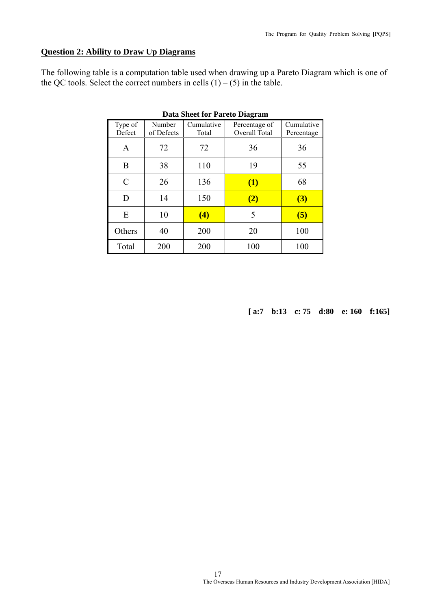#### **Question 2: Ability to Draw Up Diagrams**

The following table is a computation table used when drawing up a Pareto Diagram which is one of the QC tools. Select the correct numbers in cells  $(1) - (5)$  in the table.

| <b>Data Sheet for Pareto Diagram</b> |                      |                     |                                |                          |  |  |  |  |
|--------------------------------------|----------------------|---------------------|--------------------------------|--------------------------|--|--|--|--|
| Type of<br>Defect                    | Number<br>of Defects | Cumulative<br>Total | Percentage of<br>Overall Total | Cumulative<br>Percentage |  |  |  |  |
| A                                    | 72                   | 72                  | 36                             | 36                       |  |  |  |  |
| B                                    | 38                   | 110                 | 19                             | 55                       |  |  |  |  |
| C                                    | 26                   | 136                 | (1)                            | 68                       |  |  |  |  |
| D                                    | 14                   | 150                 | (2)                            | (3)                      |  |  |  |  |
| E                                    | 10                   | (4)                 | 5                              | (5)                      |  |  |  |  |
| Others                               | 40                   | 200                 | 20                             | 100                      |  |  |  |  |
| Total                                | 200                  | 200                 | 100                            | 100                      |  |  |  |  |

**[ a:7 b:13 c: 75 d:80 e: 160 f:165]**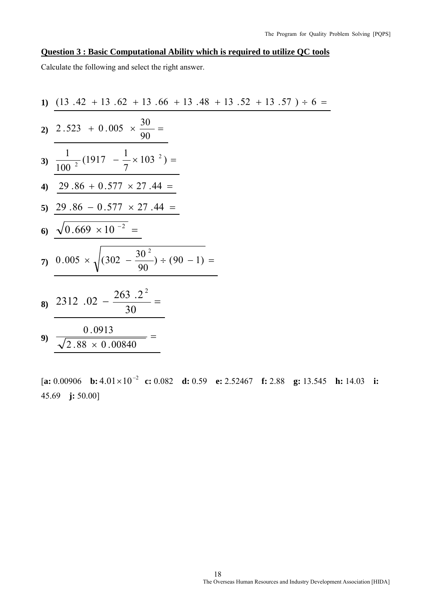#### **Question 3 : Basic Computational Ability which is required to utilize QC tools**

Calculate the following and select the right answer.

1) 
$$
\frac{(13.42 + 13.62 + 13.66 + 13.48 + 13.52 + 13.57) \div 6 =
$$
  
\n2) 
$$
2.523 + 0.005 \times \frac{30}{90} =
$$
  
\n3) 
$$
\frac{1}{100^{2}}(1917 - \frac{1}{7} \times 103^{2}) =
$$
  
\n4) 
$$
\frac{29.86 + 0.577 \times 27.44 =}{29.86 - 0.577 \times 27.44 =
$$
  
\n6) 
$$
\frac{\sqrt{0.669 \times 10^{-2}}}{\sqrt{0.669 \times 10^{-2}} =
$$
  
\n7) 
$$
\frac{0.005 \times \sqrt{(302 - \frac{30^{2}}{90}) \div (90 - 1)} =
$$
  
\n8) 
$$
\frac{2312.02 - \frac{263.2^{2}}{30} =
$$
  
\n9) 
$$
\frac{0.0913}{\sqrt{2.88 \times 0.00840}} =
$$

[**a:** 0.00906 **b:** <sup>2</sup> 4.01 10 <sup>−</sup> × **c:** 0.082 **d:** 0.59 **e:** 2.52467 **f:** 2.88 **g:** 13.545 **h:** 14.03 **i:** 45.69 **j:** 50.00]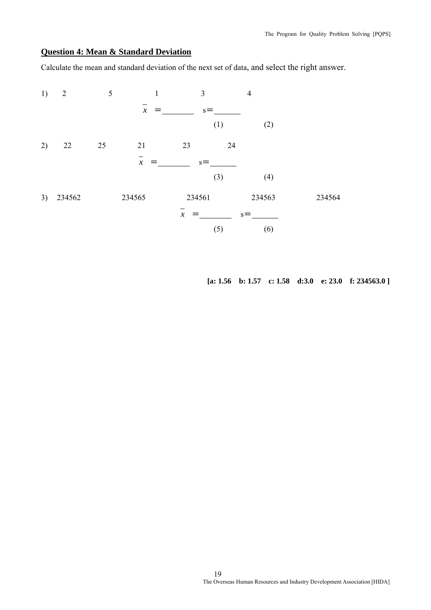#### **Question 4: Mean & Standard Deviation**

Calculate the mean and standard deviation of the next set of data, and select the right answer.

| 1) | $\overline{2}$ | 5  | $\mathbf{1}$               |                     | 3     | $\overline{4}$ |        |        |
|----|----------------|----|----------------------------|---------------------|-------|----------------|--------|--------|
|    |                |    | $\boldsymbol{\mathcal{X}}$ |                     | $s =$ |                |        |        |
|    |                |    |                            |                     | (1)   |                | (2)    |        |
| 2) | 22             | 25 | 21                         | 23                  |       | 24             |        |        |
|    |                |    | $\boldsymbol{\mathcal{X}}$ |                     | $s =$ |                |        |        |
|    |                |    |                            |                     | (3)   |                | (4)    |        |
| 3) | 234562         |    | 234565                     | 234561              |       |                | 234563 | 234564 |
|    |                |    |                            | $\boldsymbol{\chi}$ |       | $s =$          |        |        |
|    |                |    |                            |                     | (5)   |                | (6)    |        |

**[a: 1.56 b: 1.57 c: 1.58 d:3.0 e: 23.0 f: 234563.0 ]**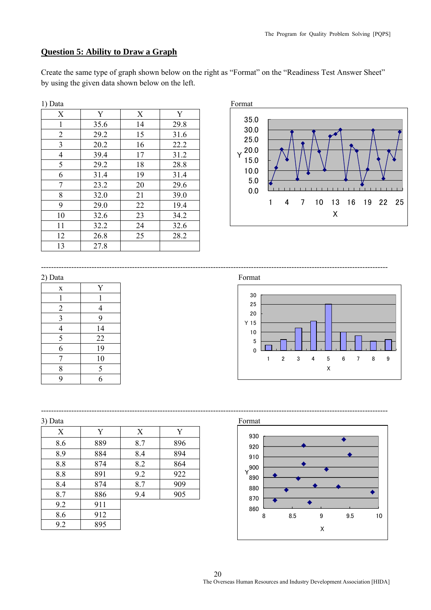#### **Question 5: Ability to Draw a Graph**

Create the same type of graph shown below on the right as "Format" on the "Readiness Test Answer Sheet" by using the given data shown below on the left.

| 1) Data        |      |    |      | Format    |
|----------------|------|----|------|-----------|
| X              | Y    | X  | Y    |           |
| 1              | 35.6 | 14 | 29.8 | 35        |
| $\overline{2}$ | 29.2 | 15 | 31.6 | 30        |
| 3              | 20.2 | 16 | 22.2 | 25        |
| 4              | 39.4 | 17 | 31.2 | 20        |
| 5              | 29.2 | 18 | 28.8 | 15        |
| 6              | 31.4 | 19 | 31.4 | 10        |
| 7              | 23.2 | 20 | 29.6 | 5         |
| 8              | 32.0 | 21 | 39.0 | $\pmb{0}$ |
| 9              | 29.0 | 22 | 19.4 |           |
| 10             | 32.6 | 23 | 34.2 |           |
| 11             | 32.2 | 24 | 32.6 |           |
| 12             | 26.8 | 25 | 28.2 |           |
| 13             | 27.8 |    |      |           |



| $\cdot$                 |    |
|-------------------------|----|
| $\mathbf X$             | Y  |
| 1                       | 1  |
| $\overline{c}$          | 4  |
| $\overline{\mathbf{3}}$ | 9  |
| $\overline{4}$          | 14 |
| $\overline{\mathbf{5}}$ | 22 |
| 6                       | 19 |
| 7                       | 10 |
| 8                       | 5  |
| 9                       | 6  |

2) Data Format

-----------------------------------------------------------------------------------------------------------------------------------------



| X   | Y   | X   | Y   |
|-----|-----|-----|-----|
| 8.6 | 889 | 8.7 | 896 |
| 8.9 | 884 | 8.4 | 894 |
| 8.8 | 874 | 8.2 | 864 |
| 8.8 | 891 | 9.2 | 922 |
| 8.4 | 874 | 8.7 | 909 |
| 8.7 | 886 | 9.4 | 905 |
| 9.2 | 911 |     |     |
| 8.6 | 912 |     |     |
| 9.2 | 895 |     |     |

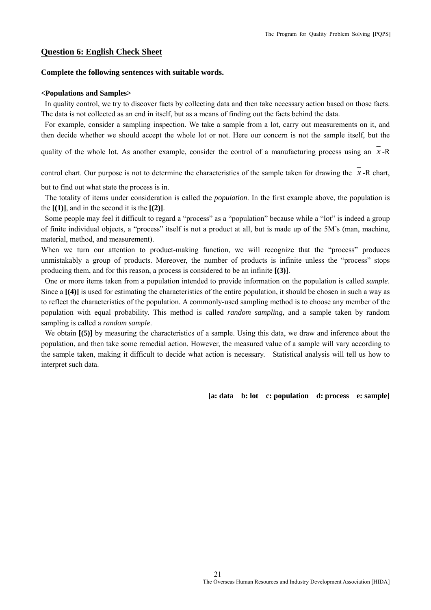#### **Question 6: English Check Sheet**

#### **Complete the following sentences with suitable words.**

#### **<Populations and Samples>**

 In quality control, we try to discover facts by collecting data and then take necessary action based on those facts. The data is not collected as an end in itself, but as a means of finding out the facts behind the data.

 For example, consider a sampling inspection. We take a sample from a lot, carry out measurements on it, and then decide whether we should accept the whole lot or not. Here our concern is not the sample itself, but the

quality of the whole lot. As another example, consider the control of a manufacturing process using an *x* -R

control chart. Our purpose is not to determine the characteristics of the sample taken for drawing the  $\overline{x}$  -R chart.

but to find out what state the process is in.

 The totality of items under consideration is called the *population*. In the first example above, the population is the  $[(1)]$ , and in the second it is the  $[(2)]$ .

 Some people may feel it difficult to regard a "process" as a "population" because while a "lot" is indeed a group of finite individual objects, a "process" itself is not a product at all, but is made up of the 5M's (man, machine, material, method, and measurement).

When we turn our attention to product-making function, we will recognize that the "process" produces unmistakably a group of products. Moreover, the number of products is infinite unless the "process" stops producing them, and for this reason, a process is considered to be an infinite **[(3)]**.

 One or more items taken from a population intended to provide information on the population is called *sample*. Since a  $[(4)]$  is used for estimating the characteristics of the entire population, it should be chosen in such a way as to reflect the characteristics of the population. A commonly-used sampling method is to choose any member of the population with equal probability. This method is called *random sampling*, and a sample taken by random sampling is called a *random sample*.

We obtain **[(5)]** by measuring the characteristics of a sample. Using this data, we draw and inference about the population, and then take some remedial action. However, the measured value of a sample will vary according to the sample taken, making it difficult to decide what action is necessary. Statistical analysis will tell us how to interpret such data.

**[a: data b: lot c: population d: process e: sample]**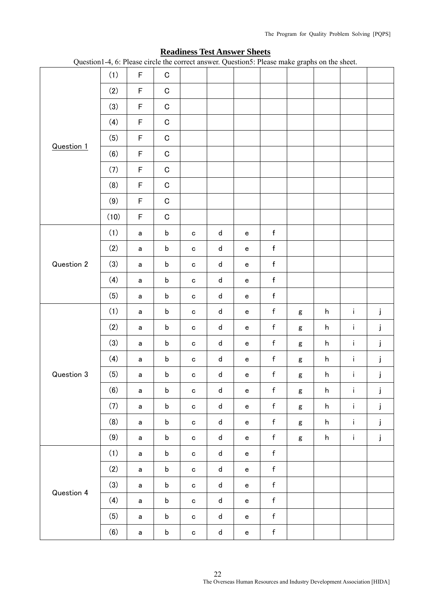| (2)<br>F<br>$\mathbf C$<br>(3)<br>$\mathsf F$<br>$\mathbf C$<br>(4)<br>$\mathsf F$<br>$\mathbf C$<br>F<br>(5)<br>${\bf C}$<br><b>Question 1</b><br>(6)<br>$\mathsf F$<br>$\mathbf C$<br>(7)<br>F<br>$\mathbf C$<br>(8)<br>$\mathsf F$<br>$\mathbf C$<br>F<br>(9)<br>$\mathbf C$<br>(10)<br>F<br>$\mathbf C$<br>(1)<br>$\sf b$<br>f<br>d<br>$\mathsf a$<br>${\bf c}$<br>$\mathsf{e}% _{t}\left( t\right)$<br>(2)<br>$\mathsf f$<br>$\sf b$<br>${\sf d}$<br>$\mathsf a$<br>$\mathbf{e}% _{t}\left( t\right)$<br>${\bf c}$<br>(3)<br>$\mathsf f$<br>Question 2<br>$\sf b$<br>${\sf d}$<br>$\mathsf{e}% _{t}\left( t\right)$<br>$\mathsf a$<br>${\bf c}$<br>(4)<br>$\mathsf f$<br>$\sf b$<br>${\sf d}$<br>$\mathsf{e}% _{t}\left( t\right)$<br>$\mathsf a$<br>$\mathbf c$<br>(5)<br>$\mathsf f$<br>$\sf b$<br>${\sf d}$<br>$\mathsf{e}% _{t}\left( t\right)$<br>$\mathsf a$<br>$\mathbf c$<br>(1)<br>$\mathsf f$<br>$\mathbf i$<br>j<br>$\mathsf b$<br>d<br>h<br>a<br>$\mathbf C$<br>${\bf e}$<br>g<br>(2)<br>$\mathsf f$<br>î.<br>j<br>$\mathsf b$<br>h<br>d<br>$\mathsf{e}% _{t}\left( t\right)$<br>$\mathsf a$<br>$\mathbf C$<br>$\mathsf g$<br>(3)<br>$\mathsf f$<br>$\mathbf{j}$<br>$\mathbf i$<br>$\sf b$<br>${\sf d}$<br>h<br>$\mathbf{e}% _{t}\left( t\right)$<br>$\mathsf a$<br>$\mathbf C$<br>g<br>(4)<br>$\mathsf f$<br>$\sf b$<br>i.<br>j<br>${\sf d}$<br>h<br>$\mathsf{e}% _{t}\left( t\right)$<br>$\mathsf a$<br>$\mathbf C$<br>$\mathsf g$<br>$\mathsf f$<br>Question 3<br>(5)<br>î.<br>j<br>$\sf b$<br>h<br>d<br>$\mathsf a$<br>$\mathbf c$<br>$\mathsf{e}% _{t}\left( t\right)$<br>$\mathsf g$<br>(6)<br>$\mathsf f$<br>$\mathbf{1}$<br>$\mathbf{j}$<br>$\sf b$<br>${\sf d}$<br>h<br>$\mathbf{a}$<br>$\mathbf{C}^-$<br>$\mathsf{e}% _{t}\left( t\right)$<br>$\mathbf{g}$<br>(7)<br>$\mathsf f$<br>$\mathsf b$<br>i.<br>j<br>${\sf d}$<br>h<br>$\mathsf{a}$<br>$\mathbf{c}$<br>$\mathbf{e}$<br>$\mathsf g$<br>$\mathsf f$<br>(8)<br>$\mathbf i$<br>j<br>$\mathsf b$<br>${\sf d}$<br>h<br>$\mathbf{e}$<br>$\mathsf{a}$<br>$\mathtt{C}$<br>$\mathsf g$<br>(9)<br>j<br>$\mathsf f$<br>$\mathbf i$<br>$\mathsf b$<br>${\sf d}$<br>h<br>$\mathsf{a}$<br>$\mathbf c$<br>$\mathbf{e}$<br>$\mathsf g$<br>$\mathsf{f}$<br>(1)<br>$\mathsf b$<br>${\sf d}$<br>$\mathsf{e}% _{t}\left( t\right)$<br>$\mathsf a$<br>$\mathbf{C}$<br>(2)<br>$\mathsf{f}$<br>${\sf d}$<br>$\mathsf b$<br>$\mathbf{e}$<br>$\mathsf a$<br>$\mathtt{C}$<br>(3)<br>$\mathsf{f}$<br>$\sf b$<br>${\sf d}$<br>$\mathsf{e}% _{t}\left( t\right)$<br>$\mathsf a$<br>$\mathbf{C}$<br>Question 4<br>(4)<br>$\mathsf f$<br>$\sf b$<br>${\sf d}$<br>$\mathsf{e}% _{t}\left( t\right)$<br>$\mathsf a$<br>$\mathbf{C}$<br>$\mathsf f$<br>(5)<br>$\mathsf b$<br>$\mathsf d$<br>$\mathbf{e}% _{t}\left( t\right)$<br>$\mathsf a$<br>${\bf c}$<br>(6)<br>$\mathsf f$<br>$\mathsf b$<br>${\sf d}$<br>$\mathsf a$<br>$\mathbf{e}$<br>${\bf c}$ |  |     |   |             |  |  | U<br><b>T</b> |  |  |
|----------------------------------------------------------------------------------------------------------------------------------------------------------------------------------------------------------------------------------------------------------------------------------------------------------------------------------------------------------------------------------------------------------------------------------------------------------------------------------------------------------------------------------------------------------------------------------------------------------------------------------------------------------------------------------------------------------------------------------------------------------------------------------------------------------------------------------------------------------------------------------------------------------------------------------------------------------------------------------------------------------------------------------------------------------------------------------------------------------------------------------------------------------------------------------------------------------------------------------------------------------------------------------------------------------------------------------------------------------------------------------------------------------------------------------------------------------------------------------------------------------------------------------------------------------------------------------------------------------------------------------------------------------------------------------------------------------------------------------------------------------------------------------------------------------------------------------------------------------------------------------------------------------------------------------------------------------------------------------------------------------------------------------------------------------------------------------------------------------------------------------------------------------------------------------------------------------------------------------------------------------------------------------------------------------------------------------------------------------------------------------------------------------------------------------------------------------------------------------------------------------------------------------------------------------------------------------------------------------------------------------------------------------------------------------------------------------------------------------------------------------------------------------------------------------------------------------------------------------------------------------------------------------|--|-----|---|-------------|--|--|---------------|--|--|
|                                                                                                                                                                                                                                                                                                                                                                                                                                                                                                                                                                                                                                                                                                                                                                                                                                                                                                                                                                                                                                                                                                                                                                                                                                                                                                                                                                                                                                                                                                                                                                                                                                                                                                                                                                                                                                                                                                                                                                                                                                                                                                                                                                                                                                                                                                                                                                                                                                                                                                                                                                                                                                                                                                                                                                                                                                                                                                          |  | (1) | F | $\mathbf C$ |  |  |               |  |  |
|                                                                                                                                                                                                                                                                                                                                                                                                                                                                                                                                                                                                                                                                                                                                                                                                                                                                                                                                                                                                                                                                                                                                                                                                                                                                                                                                                                                                                                                                                                                                                                                                                                                                                                                                                                                                                                                                                                                                                                                                                                                                                                                                                                                                                                                                                                                                                                                                                                                                                                                                                                                                                                                                                                                                                                                                                                                                                                          |  |     |   |             |  |  |               |  |  |
|                                                                                                                                                                                                                                                                                                                                                                                                                                                                                                                                                                                                                                                                                                                                                                                                                                                                                                                                                                                                                                                                                                                                                                                                                                                                                                                                                                                                                                                                                                                                                                                                                                                                                                                                                                                                                                                                                                                                                                                                                                                                                                                                                                                                                                                                                                                                                                                                                                                                                                                                                                                                                                                                                                                                                                                                                                                                                                          |  |     |   |             |  |  |               |  |  |
|                                                                                                                                                                                                                                                                                                                                                                                                                                                                                                                                                                                                                                                                                                                                                                                                                                                                                                                                                                                                                                                                                                                                                                                                                                                                                                                                                                                                                                                                                                                                                                                                                                                                                                                                                                                                                                                                                                                                                                                                                                                                                                                                                                                                                                                                                                                                                                                                                                                                                                                                                                                                                                                                                                                                                                                                                                                                                                          |  |     |   |             |  |  |               |  |  |
|                                                                                                                                                                                                                                                                                                                                                                                                                                                                                                                                                                                                                                                                                                                                                                                                                                                                                                                                                                                                                                                                                                                                                                                                                                                                                                                                                                                                                                                                                                                                                                                                                                                                                                                                                                                                                                                                                                                                                                                                                                                                                                                                                                                                                                                                                                                                                                                                                                                                                                                                                                                                                                                                                                                                                                                                                                                                                                          |  |     |   |             |  |  |               |  |  |
|                                                                                                                                                                                                                                                                                                                                                                                                                                                                                                                                                                                                                                                                                                                                                                                                                                                                                                                                                                                                                                                                                                                                                                                                                                                                                                                                                                                                                                                                                                                                                                                                                                                                                                                                                                                                                                                                                                                                                                                                                                                                                                                                                                                                                                                                                                                                                                                                                                                                                                                                                                                                                                                                                                                                                                                                                                                                                                          |  |     |   |             |  |  |               |  |  |
|                                                                                                                                                                                                                                                                                                                                                                                                                                                                                                                                                                                                                                                                                                                                                                                                                                                                                                                                                                                                                                                                                                                                                                                                                                                                                                                                                                                                                                                                                                                                                                                                                                                                                                                                                                                                                                                                                                                                                                                                                                                                                                                                                                                                                                                                                                                                                                                                                                                                                                                                                                                                                                                                                                                                                                                                                                                                                                          |  |     |   |             |  |  |               |  |  |
|                                                                                                                                                                                                                                                                                                                                                                                                                                                                                                                                                                                                                                                                                                                                                                                                                                                                                                                                                                                                                                                                                                                                                                                                                                                                                                                                                                                                                                                                                                                                                                                                                                                                                                                                                                                                                                                                                                                                                                                                                                                                                                                                                                                                                                                                                                                                                                                                                                                                                                                                                                                                                                                                                                                                                                                                                                                                                                          |  |     |   |             |  |  |               |  |  |
|                                                                                                                                                                                                                                                                                                                                                                                                                                                                                                                                                                                                                                                                                                                                                                                                                                                                                                                                                                                                                                                                                                                                                                                                                                                                                                                                                                                                                                                                                                                                                                                                                                                                                                                                                                                                                                                                                                                                                                                                                                                                                                                                                                                                                                                                                                                                                                                                                                                                                                                                                                                                                                                                                                                                                                                                                                                                                                          |  |     |   |             |  |  |               |  |  |
|                                                                                                                                                                                                                                                                                                                                                                                                                                                                                                                                                                                                                                                                                                                                                                                                                                                                                                                                                                                                                                                                                                                                                                                                                                                                                                                                                                                                                                                                                                                                                                                                                                                                                                                                                                                                                                                                                                                                                                                                                                                                                                                                                                                                                                                                                                                                                                                                                                                                                                                                                                                                                                                                                                                                                                                                                                                                                                          |  |     |   |             |  |  |               |  |  |
|                                                                                                                                                                                                                                                                                                                                                                                                                                                                                                                                                                                                                                                                                                                                                                                                                                                                                                                                                                                                                                                                                                                                                                                                                                                                                                                                                                                                                                                                                                                                                                                                                                                                                                                                                                                                                                                                                                                                                                                                                                                                                                                                                                                                                                                                                                                                                                                                                                                                                                                                                                                                                                                                                                                                                                                                                                                                                                          |  |     |   |             |  |  |               |  |  |
|                                                                                                                                                                                                                                                                                                                                                                                                                                                                                                                                                                                                                                                                                                                                                                                                                                                                                                                                                                                                                                                                                                                                                                                                                                                                                                                                                                                                                                                                                                                                                                                                                                                                                                                                                                                                                                                                                                                                                                                                                                                                                                                                                                                                                                                                                                                                                                                                                                                                                                                                                                                                                                                                                                                                                                                                                                                                                                          |  |     |   |             |  |  |               |  |  |
|                                                                                                                                                                                                                                                                                                                                                                                                                                                                                                                                                                                                                                                                                                                                                                                                                                                                                                                                                                                                                                                                                                                                                                                                                                                                                                                                                                                                                                                                                                                                                                                                                                                                                                                                                                                                                                                                                                                                                                                                                                                                                                                                                                                                                                                                                                                                                                                                                                                                                                                                                                                                                                                                                                                                                                                                                                                                                                          |  |     |   |             |  |  |               |  |  |
|                                                                                                                                                                                                                                                                                                                                                                                                                                                                                                                                                                                                                                                                                                                                                                                                                                                                                                                                                                                                                                                                                                                                                                                                                                                                                                                                                                                                                                                                                                                                                                                                                                                                                                                                                                                                                                                                                                                                                                                                                                                                                                                                                                                                                                                                                                                                                                                                                                                                                                                                                                                                                                                                                                                                                                                                                                                                                                          |  |     |   |             |  |  |               |  |  |
|                                                                                                                                                                                                                                                                                                                                                                                                                                                                                                                                                                                                                                                                                                                                                                                                                                                                                                                                                                                                                                                                                                                                                                                                                                                                                                                                                                                                                                                                                                                                                                                                                                                                                                                                                                                                                                                                                                                                                                                                                                                                                                                                                                                                                                                                                                                                                                                                                                                                                                                                                                                                                                                                                                                                                                                                                                                                                                          |  |     |   |             |  |  |               |  |  |
|                                                                                                                                                                                                                                                                                                                                                                                                                                                                                                                                                                                                                                                                                                                                                                                                                                                                                                                                                                                                                                                                                                                                                                                                                                                                                                                                                                                                                                                                                                                                                                                                                                                                                                                                                                                                                                                                                                                                                                                                                                                                                                                                                                                                                                                                                                                                                                                                                                                                                                                                                                                                                                                                                                                                                                                                                                                                                                          |  |     |   |             |  |  |               |  |  |
|                                                                                                                                                                                                                                                                                                                                                                                                                                                                                                                                                                                                                                                                                                                                                                                                                                                                                                                                                                                                                                                                                                                                                                                                                                                                                                                                                                                                                                                                                                                                                                                                                                                                                                                                                                                                                                                                                                                                                                                                                                                                                                                                                                                                                                                                                                                                                                                                                                                                                                                                                                                                                                                                                                                                                                                                                                                                                                          |  |     |   |             |  |  |               |  |  |
|                                                                                                                                                                                                                                                                                                                                                                                                                                                                                                                                                                                                                                                                                                                                                                                                                                                                                                                                                                                                                                                                                                                                                                                                                                                                                                                                                                                                                                                                                                                                                                                                                                                                                                                                                                                                                                                                                                                                                                                                                                                                                                                                                                                                                                                                                                                                                                                                                                                                                                                                                                                                                                                                                                                                                                                                                                                                                                          |  |     |   |             |  |  |               |  |  |
|                                                                                                                                                                                                                                                                                                                                                                                                                                                                                                                                                                                                                                                                                                                                                                                                                                                                                                                                                                                                                                                                                                                                                                                                                                                                                                                                                                                                                                                                                                                                                                                                                                                                                                                                                                                                                                                                                                                                                                                                                                                                                                                                                                                                                                                                                                                                                                                                                                                                                                                                                                                                                                                                                                                                                                                                                                                                                                          |  |     |   |             |  |  |               |  |  |
|                                                                                                                                                                                                                                                                                                                                                                                                                                                                                                                                                                                                                                                                                                                                                                                                                                                                                                                                                                                                                                                                                                                                                                                                                                                                                                                                                                                                                                                                                                                                                                                                                                                                                                                                                                                                                                                                                                                                                                                                                                                                                                                                                                                                                                                                                                                                                                                                                                                                                                                                                                                                                                                                                                                                                                                                                                                                                                          |  |     |   |             |  |  |               |  |  |
|                                                                                                                                                                                                                                                                                                                                                                                                                                                                                                                                                                                                                                                                                                                                                                                                                                                                                                                                                                                                                                                                                                                                                                                                                                                                                                                                                                                                                                                                                                                                                                                                                                                                                                                                                                                                                                                                                                                                                                                                                                                                                                                                                                                                                                                                                                                                                                                                                                                                                                                                                                                                                                                                                                                                                                                                                                                                                                          |  |     |   |             |  |  |               |  |  |
|                                                                                                                                                                                                                                                                                                                                                                                                                                                                                                                                                                                                                                                                                                                                                                                                                                                                                                                                                                                                                                                                                                                                                                                                                                                                                                                                                                                                                                                                                                                                                                                                                                                                                                                                                                                                                                                                                                                                                                                                                                                                                                                                                                                                                                                                                                                                                                                                                                                                                                                                                                                                                                                                                                                                                                                                                                                                                                          |  |     |   |             |  |  |               |  |  |
|                                                                                                                                                                                                                                                                                                                                                                                                                                                                                                                                                                                                                                                                                                                                                                                                                                                                                                                                                                                                                                                                                                                                                                                                                                                                                                                                                                                                                                                                                                                                                                                                                                                                                                                                                                                                                                                                                                                                                                                                                                                                                                                                                                                                                                                                                                                                                                                                                                                                                                                                                                                                                                                                                                                                                                                                                                                                                                          |  |     |   |             |  |  |               |  |  |
|                                                                                                                                                                                                                                                                                                                                                                                                                                                                                                                                                                                                                                                                                                                                                                                                                                                                                                                                                                                                                                                                                                                                                                                                                                                                                                                                                                                                                                                                                                                                                                                                                                                                                                                                                                                                                                                                                                                                                                                                                                                                                                                                                                                                                                                                                                                                                                                                                                                                                                                                                                                                                                                                                                                                                                                                                                                                                                          |  |     |   |             |  |  |               |  |  |
|                                                                                                                                                                                                                                                                                                                                                                                                                                                                                                                                                                                                                                                                                                                                                                                                                                                                                                                                                                                                                                                                                                                                                                                                                                                                                                                                                                                                                                                                                                                                                                                                                                                                                                                                                                                                                                                                                                                                                                                                                                                                                                                                                                                                                                                                                                                                                                                                                                                                                                                                                                                                                                                                                                                                                                                                                                                                                                          |  |     |   |             |  |  |               |  |  |
|                                                                                                                                                                                                                                                                                                                                                                                                                                                                                                                                                                                                                                                                                                                                                                                                                                                                                                                                                                                                                                                                                                                                                                                                                                                                                                                                                                                                                                                                                                                                                                                                                                                                                                                                                                                                                                                                                                                                                                                                                                                                                                                                                                                                                                                                                                                                                                                                                                                                                                                                                                                                                                                                                                                                                                                                                                                                                                          |  |     |   |             |  |  |               |  |  |
|                                                                                                                                                                                                                                                                                                                                                                                                                                                                                                                                                                                                                                                                                                                                                                                                                                                                                                                                                                                                                                                                                                                                                                                                                                                                                                                                                                                                                                                                                                                                                                                                                                                                                                                                                                                                                                                                                                                                                                                                                                                                                                                                                                                                                                                                                                                                                                                                                                                                                                                                                                                                                                                                                                                                                                                                                                                                                                          |  |     |   |             |  |  |               |  |  |
|                                                                                                                                                                                                                                                                                                                                                                                                                                                                                                                                                                                                                                                                                                                                                                                                                                                                                                                                                                                                                                                                                                                                                                                                                                                                                                                                                                                                                                                                                                                                                                                                                                                                                                                                                                                                                                                                                                                                                                                                                                                                                                                                                                                                                                                                                                                                                                                                                                                                                                                                                                                                                                                                                                                                                                                                                                                                                                          |  |     |   |             |  |  |               |  |  |
|                                                                                                                                                                                                                                                                                                                                                                                                                                                                                                                                                                                                                                                                                                                                                                                                                                                                                                                                                                                                                                                                                                                                                                                                                                                                                                                                                                                                                                                                                                                                                                                                                                                                                                                                                                                                                                                                                                                                                                                                                                                                                                                                                                                                                                                                                                                                                                                                                                                                                                                                                                                                                                                                                                                                                                                                                                                                                                          |  |     |   |             |  |  |               |  |  |
|                                                                                                                                                                                                                                                                                                                                                                                                                                                                                                                                                                                                                                                                                                                                                                                                                                                                                                                                                                                                                                                                                                                                                                                                                                                                                                                                                                                                                                                                                                                                                                                                                                                                                                                                                                                                                                                                                                                                                                                                                                                                                                                                                                                                                                                                                                                                                                                                                                                                                                                                                                                                                                                                                                                                                                                                                                                                                                          |  |     |   |             |  |  |               |  |  |

## **Readiness Test Answer Sheets**

Question1-4, 6: Please circle the correct answer. Question5: Please make graphs on the sheet.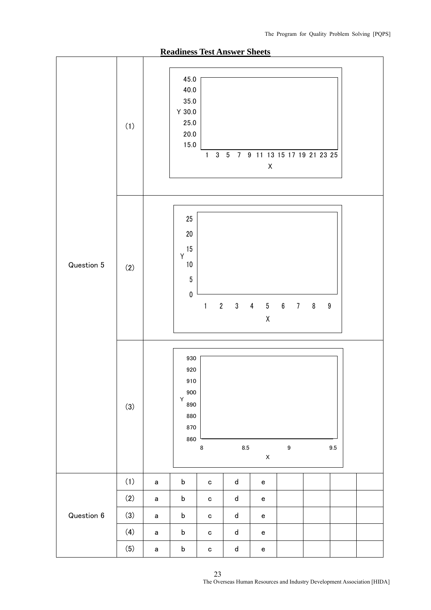

**Readiness Test Answer Sheets** 

23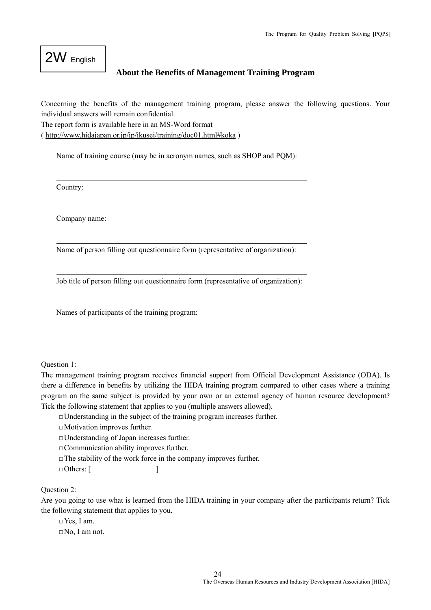# 2W English

#### **About the Benefits of Management Training Program**

Concerning the benefits of the management training program, please answer the following questions. Your individual answers will remain confidential.

The report form is available here in an MS-Word format

( http://www.hidajapan.or.jp/jp/ikusei/training/doc01.html#koka )

Name of training course (may be in acronym names, such as SHOP and PQM):

Country:

Company name:

Name of person filling out questionnaire form (representative of organization):

Job title of person filling out questionnaire form (representative of organization):

Names of participants of the training program:

Question 1:

The management training program receives financial support from Official Development Assistance (ODA). Is there a difference in benefits by utilizing the HIDA training program compared to other cases where a training program on the same subject is provided by your own or an external agency of human resource development? Tick the following statement that applies to you (multiple answers allowed).

 $\Box$ Understanding in the subject of the training program increases further.

□Motivation improves further.

□Understanding of Japan increases further.

□Communication ability improves further.

 $\Box$  The stability of the work force in the company improves further.

 $\Box$  Others:  $\lceil$ 

Question 2:

Are you going to use what is learned from the HIDA training in your company after the participants return? Tick the following statement that applies to you.

□Yes, I am. □No, I am not.